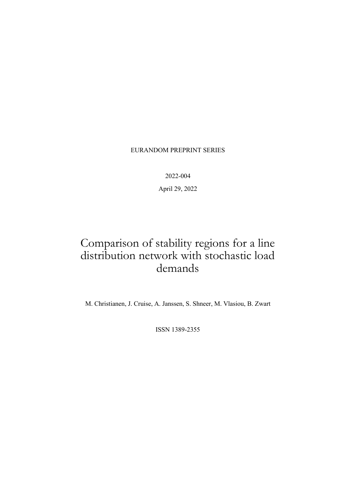### EURANDOM PREPRINT SERIES

2022-004

April 29, 2022

# Comparison of stability regions for a line distribution network with stochastic load demands

M. Christianen, J. Cruise, A. Janssen, S. Shneer, M. Vlasiou, B. Zwart

ISSN 1389-2355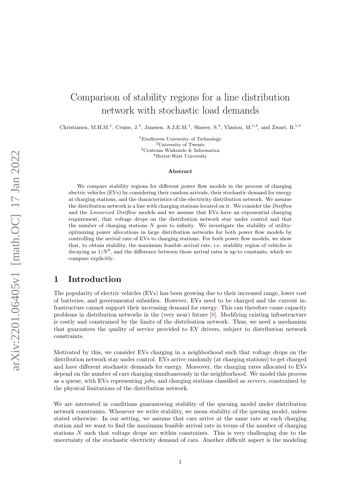# Comparison of stability regions for a line distribution network with stochastic load demands

Christianen, M.H.M.<sup>1</sup>, Cruise, J.<sup>4</sup>, Janssen, A.J.E.M.<sup>1</sup>, Shneer, S.<sup>4</sup>, Vlasiou, M.<sup>1,2</sup>, and Zwart, B.<sup>1,3</sup>

<sup>1</sup>Eindhoven University of Technology University of Twente Centrum Wiskunde & Informatica Heriot-Watt University

#### Abstract

We compare stability regions for different power flow models in the process of charging electric vehicles (EVs) by considering their random arrivals, their stochastic demand for energy at charging stations, and the characteristics of the electricity distribution network. We assume the distribution network is a line with charging stations located on it. We consider the Distribution and the *Linearized Distflow* models and we assume that EVs have an exponential charging requirement, that voltage drops on the distribution network stay under control and that the number of charging stations  $N$  goes to infinity. We investigate the stability of utilityoptimizing power allocations in large distribution networks for both power flow models by controlling the arrival rate of EVs to charging stations. For both power flow models, we show that, to obtain stability, the maximum feasible arrival rate, i.e. stability region of vehicles is decaying as  $1/N^2$ , and the difference between those arrival rates is up to constants, which we compare explicitly.

### 1 Introduction

The popularity of electric vehicles (EVs) has been growing due to their increased range, lower cost of batteries, and governmental subsidies. However, EVs need to be charged and the current infrastructure cannot support their increasing demand for energy. This can therefore cause capacity problems in distribution networks in the (very near) future [\[8\]](#page-40-0). Modifying existing infrastructure is costly and constrained by the limits of the distribution network. Thus, we need a mechanism that guarantees the quality of service provided to EV drivers, subject to distribution network constraints.

Motivated by this, we consider EVs charging in a neighborhood such that voltage drops on the distribution network stay under control. EVs arrive randomly (at charging stations) to get charged and have different stochastic demands for energy. Moreover, the charging rates allocated to EVs depend on the number of cars charging simultaneously in the neighborhood. We model this process as a queue, with EVs representing jobs, and charging stations classified as servers, constrained by the physical limitations of the distribution network.

We are interested in conditions guaranteeing stability of the queuing model under distribution network constraints. Whenever we write stability, we mean stability of the queuing model, unless stated otherwise. In our setting, we assume that cars arrive at the same rate at each charging station and we want to find the maximum feasible arrival rate in terms of the number of charging stations  $N$  such that voltage drops are within constraints. This is very challenging due to the uncertainty of the stochastic electricity demand of cars. Another difficult aspect is the modeling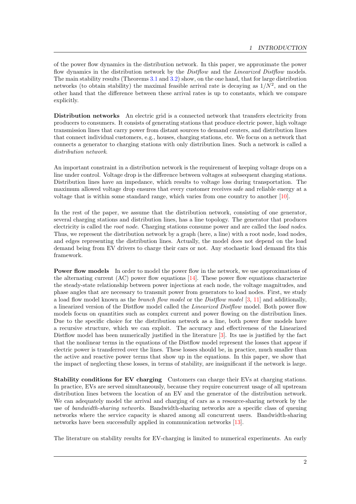of the power flow dynamics in the distribution network. In this paper, we approximate the power flow dynamics in the distribution network by the *Distflow* and the *Linearized Distflow* models. The main stability results (Theorems [3.1](#page-12-0) and [3.2\)](#page-12-1) show, on the one hand, that for large distribution networks (to obtain stability) the maximal feasible arrival rate is decaying as  $1/N^2$ , and on the other hand that the difference between these arrival rates is up to constants, which we compare explicitly.

Distribution networks An electric grid is a connected network that transfers electricity from producers to consumers. It consists of generating stations that produce electric power, high voltage transmission lines that carry power from distant sources to demand centers, and distribution lines that connect individual customers, e.g., houses, charging stations, etc. We focus on a network that connects a generator to charging stations with only distribution lines. Such a network is called a distribution network.

An important constraint in a distribution network is the requirement of keeping voltage drops on a line under control. Voltage drop is the difference between voltages at subsequent charging stations. Distribution lines have an impedance, which results to voltage loss during transportation. The maximum allowed voltage drop ensures that every customer receives safe and reliable energy at a voltage that is within some standard range, which varies from one country to another [\[10\]](#page-40-1).

In the rest of the paper, we assume that the distribution network, consisting of one generator, several charging stations and distribution lines, has a line topology. The generator that produces electricity is called the *root node*. Charging stations consume power and are called the *load nodes*. Thus, we represent the distribution network by a graph (here, a line) with a root node, load nodes, and edges representing the distribution lines. Actually, the model does not depend on the load demand being from EV drivers to charge their cars or not. Any stochastic load demand fits this framework.

Power flow models In order to model the power flow in the network, we use approximations of the alternating current  $(AC)$  power flow equations  $[14]$ . These power flow equations characterize the steady-state relationship between power injections at each node, the voltage magnitudes, and phase angles that are necessary to transmit power from generators to load nodes. First, we study a load flow model known as the branch flow model or the Distflow model [\[3,](#page-40-3) [11\]](#page-40-4) and additionally, a linearized version of the Distflow model called the Linearized Distflow model. Both power flow models focus on quantities such as complex current and power flowing on the distribution lines. Due to the specific choice for the distribution network as a line, both power flow models have a recursive structure, which we can exploit. The accuracy and effectiveness of the Linearized Distflow model has been numerically justified in the literature [\[3\]](#page-40-3). Its use is justified by the fact that the nonlinear terms in the equations of the Distflow model represent the losses that appear if electric power is transferred over the lines. These losses should be, in practice, much smaller than the active and reactive power terms that show up in the equations. In this paper, we show that the impact of neglecting these losses, in terms of stability, are insignificant if the network is large.

Stability conditions for EV charging Customers can charge their EVs at charging stations. In practice, EVs are served simultaneously, because they require concurrent usage of all upstream distribution lines between the location of an EV and the generator of the distribution network. We can adequately model the arrival and charging of cars as a resource-sharing network by the use of bandwidth-sharing networks. Bandwidth-sharing networks are a specific class of queuing networks where the service capacity is shared among all concurrent users. Bandwidth-sharing networks have been successfully applied in communication networks [\[13\]](#page-40-5).

The literature on stability results for EV-charging is limited to numerical experiments. An early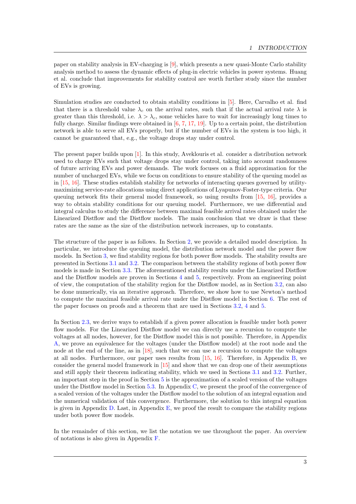paper on stability analysis in EV-charging is [\[9\]](#page-40-6), which presents a new quasi-Monte Carlo stability analysis method to assess the dynamic effects of plug-in electric vehicles in power systems. Huang et al. conclude that improvements for stability control are worth further study since the number of EVs is growing.

Simulation studies are conducted to obtain stability conditions in [\[5\]](#page-40-7). Here, Carvalho et al. find that there is a threshold value  $\lambda_c$  on the arrival rates, such that if the actual arrival rate  $\lambda$  is greater than this threshold, i.e.  $\lambda > \lambda_c$ , some vehicles have to wait for increasingly long times to fully charge. Similar findings were obtained in [\[6,](#page-40-8) [7,](#page-40-9) [17,](#page-40-10) [19\]](#page-40-11). Up to a certain point, the distribution network is able to serve all EVs properly, but if the number of EVs in the system is too high, it cannot be guaranteed that, e.g., the voltage drops stay under control.

The present paper builds upon [\[1\]](#page-39-0). In this study, Aveklouris et al. consider a distribution network used to charge EVs such that voltage drops stay under control, taking into account randomness of future arriving EVs and power demands. The work focuses on a fluid approximation for the number of uncharged EVs, while we focus on conditions to ensure stability of the queuing model as in [\[15,](#page-40-12) [16\]](#page-40-13). These studies establish stability for networks of interacting queues governed by utilitymaximizing service-rate allocations using direct applications of Lyapunov-Foster-type criteria. Our queuing network fits their general model framework, so using results from [\[15,](#page-40-12) [16\]](#page-40-13), provides a way to obtain stability conditions for our queuing model. Furthermore, we use differential and integral calculus to study the difference between maximal feasible arrival rates obtained under the Linearized Distflow and the Distflow models. The main conclusion that we draw is that these rates are the same as the size of the distribution network increases, up to constants.

The structure of the paper is as follows. In Section [2,](#page-4-0) we provide a detailed model description. In particular, we introduce the queuing model, the distribution network model and the power flow models. In Section [3,](#page-11-0) we find stability regions for both power flow models. The stability results are presented in Sections [3.1](#page-12-2) and [3.2.](#page-12-3) The comparison between the stability regions of both power flow models is made in Section [3.3.](#page-13-0) The aforementioned stability results under the Linearized Distflow and the Distflow models are proven in Sections [4](#page-14-0) and [5,](#page-16-0) respectively. From an engineering point of view, the computation of the stability region for the Distflow model, as in Section [3.2,](#page-12-3) can also be done numerically, via an iterative approach. Therefore, we show how to use Newton's method to compute the maximal feasible arrival rate under the Distflow model in Section [6.](#page-20-0) The rest of the paper focuses on proofs and a theorem that are used in Sections [3.2,](#page-12-3) [4](#page-14-0) and [5.](#page-16-0)

In Section [2.3,](#page-6-0) we derive ways to establish if a given power allocation is feasible under both power flow models. For the Linearized Distflow model we can directly use a recursion to compute the voltages at all nodes, however, for the Distflow model this is not possible. Therefore, in Appendix [A,](#page-22-0) we prove an equivalence for the voltages (under the Distflow model) at the root node and the node at the end of the line, as in [\[18\]](#page-40-14), such that we can use a recursion to compute the voltages at all nodes. Furthermore, our paper uses results from [\[15,](#page-40-12) [16\]](#page-40-13). Therefore, in Appendix [B,](#page-24-0) we consider the general model framework in [\[15\]](#page-40-12) and show that we can drop one of their assumptions and still apply their theorem indicating stability, which we used in Sections [3.1](#page-12-2) and [3.2.](#page-12-3) Further, an important step in the proof in Section [5](#page-16-0) is the approximation of a scaled version of the voltages under the Distflow model in Section [5.3.](#page-18-0) In Appendix [C,](#page-25-0) we present the proof of the convergence of a scaled version of the voltages under the Distflow model to the solution of an integral equation and the numerical validation of this convergence. Furthermore, the solution to this integral equation is given in Appendix [D.](#page-35-0) Last, in Appendix [E,](#page-37-0) we proof the result to compare the stability regions under both power flow models.

In the remainder of this section, we list the notation we use throughout the paper. An overview of notations is also given in Appendix [F.](#page-38-0)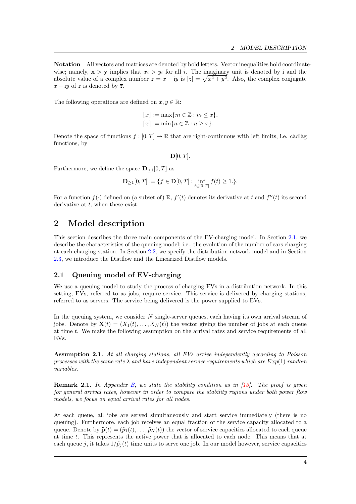Notation All vectors and matrices are denoted by bold letters. Vector inequalities hold coordinatewise; namely,  $\mathbf{x} > \mathbf{y}$  implies that  $x_i > y_i$  for all i. The imaginary unit is denoted by i and the absolute value of a complex number  $z = x + iy$  is  $|z| = \sqrt{x^2 + y^2}$ . Also, the complex conjugate  $x - iy$  of z is denoted by  $\overline{z}$ .

The following operations are defined on  $x, y \in \mathbb{R}$ :

$$
\lfloor x \rfloor := \max\{m \in \mathbb{Z} : m \le x\},\
$$

$$
\lceil x \rceil := \min\{n \in \mathbb{Z} : n \ge x\}.
$$

Denote the space of functions  $f : [0, T] \to \mathbb{R}$  that are right-continuous with left limits, i.e. càdlàg functions, by

 $D[0, T]$ .

Furthermore, we define the space  $\mathbf{D}_{\geq 1}[0,T]$  as

$$
\mathbf{D}_{\geq 1}[0,T] := \{ f \in \mathbf{D}[0,T] : \inf_{t \in [0,T]} f(t) \geq 1. \}.
$$

For a function  $f(\cdot)$  defined on (a subset of) R,  $f'(t)$  denotes its derivative at t and  $f''(t)$  its second derivative at  $t$ , when these exist.

# <span id="page-4-0"></span>2 Model description

This section describes the three main components of the EV-charging model. In Section [2.1,](#page-4-1) we describe the characteristics of the queuing model; i.e., the evolution of the number of cars charging at each charging station. In Section [2.2,](#page-5-0) we specify the distribution network model and in Section [2.3,](#page-6-0) we introduce the Distflow and the Linearized Distflow models.

### <span id="page-4-1"></span>2.1 Queuing model of EV-charging

We use a queuing model to study the process of charging EVs in a distribution network. In this setting, EVs, referred to as jobs, require service. This service is delivered by charging stations, referred to as servers. The service being delivered is the power supplied to EVs.

In the queuing system, we consider  $N$  single-server queues, each having its own arrival stream of jobs. Denote by  $\mathbf{X}(t) = (X_1(t), \dots, X_N(t))$  the vector giving the number of jobs at each queue at time t. We make the following assumption on the arrival rates and service requirements of all EVs.

Assumption 2.1. At all charging stations, all EVs arrive independently according to Poisson processes with the same rate  $\lambda$  and have independent service requirements which are  $Exp(1)$  random variables.

<span id="page-4-2"></span>**Remark 2.1.** In Appendix [B,](#page-24-0) we state the stability condition as in  $[15]$ . The proof is given for general arrival rates, however in order to compare the stability regions under both power flow models, we focus on equal arrival rates for all nodes.

At each queue, all jobs are served simultaneously and start service immediately (there is no queuing). Furthermore, each job receives an equal fraction of the service capacity allocated to a queue. Denote by  $\tilde{\mathbf{p}}(t) = (\tilde{p}_1(t), \dots, \tilde{p}_N(t))$  the vector of service capacities allocated to each queue at time t. This represents the active power that is allocated to each node. This means that at each queue j, it takes  $1/\tilde{p}_i(t)$  time units to serve one job. In our model however, service capacities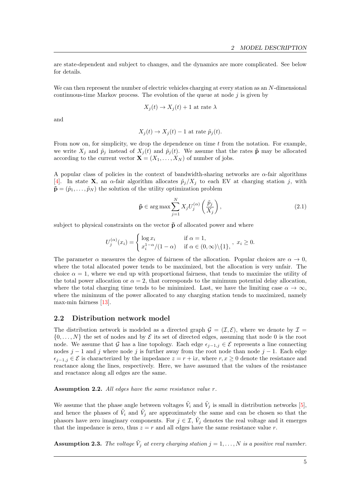are state-dependent and subject to changes, and the dynamics are more complicated. See below for details.

We can then represent the number of electric vehicles charging at every station as an N-dimensional continuous-time Markov process. The evolution of the queue at node  $j$  is given by

$$
X_j(t) \to X_j(t) + 1
$$
 at rate  $\lambda$ 

and

$$
X_j(t) \to X_j(t) - 1
$$
 at rate  $\tilde{p}_j(t)$ .

From now on, for simplicity, we drop the dependence on time  $t$  from the notation. For example, we write  $X_j$  and  $\tilde{p}_j$  instead of  $X_j(t)$  and  $\tilde{p}_j(t)$ . We assume that the rates  $\tilde{p}$  may be allocated according to the current vector  $\mathbf{X} = (X_1, \ldots, X_N)$  of number of jobs.

A popular class of policies in the context of bandwidth-sharing networks are  $\alpha$ -fair algorithms [\[4\]](#page-40-15). In state **X**, an  $\alpha$ -fair algorithm allocates  $\tilde{p}_j/X_j$  to each EV at charging station j, with  $\tilde{\mathbf{p}} = (\tilde{p}_1, \dots, \tilde{p}_N)$  the solution of the utility optimization problem

<span id="page-5-1"></span>
$$
\tilde{\mathbf{p}} \in \arg \max \sum_{j=1}^{N} X_j U_j^{(\alpha)} \left( \frac{\tilde{p}_j}{X_j} \right), \tag{2.1}
$$

subject to physical constraints on the vector  $\tilde{p}$  of allocated power and where

$$
U_j^{(\alpha)}(x_i) = \begin{cases} \log x_i & \text{if } \alpha = 1, \\ x_i^{1-\alpha}/(1-\alpha) & \text{if } \alpha \in (0,\infty) \setminus \{1\}, \end{cases}, x_i \ge 0.
$$

The parameter  $\alpha$  measures the degree of fairness of the allocation. Popular choices are  $\alpha \to 0$ , where the total allocated power tends to be maximized, but the allocation is very unfair. The choice  $\alpha = 1$ , where we end up with proportional fairness, that tends to maximize the utility of the total power allocation or  $\alpha = 2$ , that corresponds to the minimum potential delay allocation, where the total charging time tends to be minimized. Last, we have the limiting case  $\alpha \to \infty$ , where the minimum of the power allocated to any charging station tends to maximized, namely max-min fairness [\[13\]](#page-40-5).

### <span id="page-5-0"></span>2.2 Distribution network model

The distribution network is modeled as a directed graph  $\mathcal{G} = (\mathcal{I}, \mathcal{E})$ , where we denote by  $\mathcal{I} =$  $\{0, \ldots, N\}$  the set of nodes and by  $\mathcal E$  its set of directed edges, assuming that node 0 is the root node. We assume that G has a line topology. Each edge  $\epsilon_{i-1,j} \in \mathcal{E}$  represents a line connecting nodes  $j-1$  and j where node j is further away from the root node than node  $j-1$ . Each edge  $\epsilon_{i-1,j} \in \mathcal{E}$  is characterized by the impedance  $z = r + ix$ , where  $r, x \geq 0$  denote the resistance and reactance along the lines, respectively. Here, we have assumed that the values of the resistance and reactance along all edges are the same.

#### Assumption 2.2. All edges have the same resistance value r.

We assume that the phase angle between voltages  $\tilde{V}_i$  and  $\tilde{V}_j$  is small in distribution networks [\[5\]](#page-40-7), and hence the phases of  $\tilde{V}_i$  and  $\tilde{V}_j$  are approximately the same and can be chosen so that the phasors have zero imaginary components. For  $j \in \mathcal{I}$ ,  $\tilde{V}_j$  denotes the real voltage and it emerges that the impedance is zero, thus  $z = r$  and all edges have the same resistance value r.

**Assumption 2.3.** The voltage  $\tilde{V}_j$  at every charging station  $j = 1, ..., N$  is a positive real number.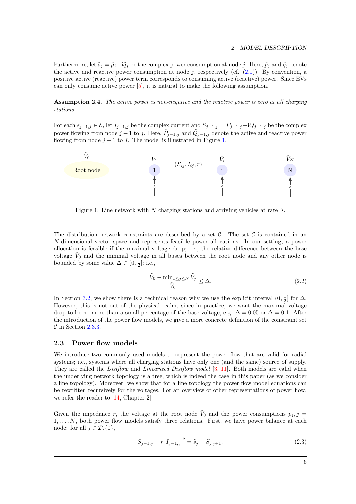Furthermore, let  $\tilde{s}_j = \tilde{p}_j + i\tilde{q}_j$  be the complex power consumption at node j. Here,  $\tilde{p}_j$  and  $\tilde{q}_j$  denote the active and reactive power consumption at node j, respectively (cf.  $(2.1)$ ). By convention, a positive active (reactive) power term corresponds to consuming active (reactive) power. Since EVs can only consume active power [\[5\]](#page-40-7), it is natural to make the following assumption.

**Assumption 2.4.** The active power is non-negative and the reactive power is zero at all charging stations.

For each  $\epsilon_{j-1,j} \in \mathcal{E}$ , let  $I_{j-1,j}$  be the complex current and  $\tilde{S}_{j-1,j} = \tilde{P}_{j-1,j} + i\tilde{Q}_{j-1,j}$  be the complex power flowing from node  $j-1$  to j. Here,  $\tilde{P}_{j-1,j}$  and  $\tilde{Q}_{j-1,j}$  denote the active and reactive power flowing from node  $j - 1$  to j. The model is illustrated in Figure [1.](#page-6-1)

<span id="page-6-1"></span>

Figure 1: Line network with N charging stations and arriving vehicles at rate  $\lambda$ .

The distribution network constraints are described by a set  $\mathcal{C}$ . The set  $\mathcal{C}$  is contained in an N-dimensional vector space and represents feasible power allocations. In our setting, a power allocation is feasible if the maximal voltage drop; i.e., the relative difference between the base voltage  $\tilde{V}_0$  and the minimal voltage in all buses between the root node and any other node is bounded by some value  $\Delta \in (0, \frac{1}{2}]$ ; i.e.,

<span id="page-6-3"></span>
$$
\frac{\tilde{V}_0 - \min_{1 \le j \le N} \tilde{V}_j}{\tilde{V}_0} \le \Delta.
$$
\n(2.2)

In Section [3.2,](#page-12-3) we show there is a technical reason why we use the explicit interval  $(0, \frac{1}{2}]$  for  $\Delta$ . However, this is not out of the physical realm, since in practice, we want the maximal voltage drop to be no more than a small percentage of the base voltage, e.g.  $\Delta = 0.05$  or  $\Delta = 0.1$ . After the introduction of the power flow models, we give a more concrete definition of the constraint set  $\mathcal C$  in Section [2.3.3.](#page-10-0)

### <span id="page-6-0"></span>2.3 Power flow models

We introduce two commonly used models to represent the power flow that are valid for radial systems; i.e., systems where all charging stations have only one (and the same) source of supply. They are called the *Distflow* and *Linearized Distflow model* [\[3,](#page-40-3) [11\]](#page-40-4). Both models are valid when the underlying network topology is a tree, which is indeed the case in this paper (as we consider a line topology). Moreover, we show that for a line topology the power flow model equations can be rewritten recursively for the voltages. For an overview of other representations of power flow, we refer the reader to [\[14,](#page-40-2) Chapter 2].

Given the impedance r, the voltage at the root node  $\tilde{V}_0$  and the power consumptions  $\tilde{p}_j, j =$  $1, \ldots, N$ , both power flow models satisfy three relations. First, we have power balance at each node: for all  $j \in \mathcal{I} \backslash \{0\},\$ 

<span id="page-6-2"></span>
$$
\tilde{S}_{j-1,j} - r |I_{j-1,j}|^2 = \tilde{s}_j + \tilde{S}_{j,j+1}.
$$
\n(2.3)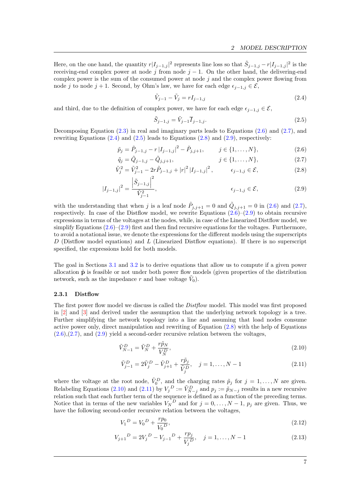Here, on the one hand, the quantity  $r|I_{j-1,j}|^2$  represents line loss so that  $\tilde{S}_{j-1,j} - r|I_{j-1,j}|^2$  is the receiving-end complex power at node j from node  $j - 1$ . On the other hand, the delivering-end complex power is the sum of the consumed power at node  $j$  and the complex power flowing from node j to node j + 1. Second, by Ohm's law, we have for each edge  $\epsilon_{i-1,j} \in \mathcal{E}$ ,

<span id="page-7-3"></span><span id="page-7-2"></span>
$$
\tilde{V}_{j-1} - \tilde{V}_j = rI_{j-1,j} \tag{2.4}
$$

and third, due to the definition of complex power, we have for each edge  $\epsilon_{i-1,i} \in \mathcal{E}$ ,

<span id="page-7-5"></span><span id="page-7-4"></span><span id="page-7-1"></span><span id="page-7-0"></span>
$$
\tilde{S}_{j-1,j} = \tilde{V}_{j-1}\overline{I}_{j-1,j}.
$$
\n(2.5)

Decomposing Equation  $(2.3)$  in real and imaginary parts leads to Equations  $(2.6)$  and  $(2.7)$ , and rewriting Equations  $(2.4)$  and  $(2.5)$  leads to Equations  $(2.8)$  and  $(2.9)$ , respectively:

$$
\tilde{p}_j = \tilde{P}_{j-1,j} - r |I_{j-1,j}|^2 - \tilde{P}_{j,j+1}, \qquad j \in \{1, ..., N\},
$$
\n(2.6)

$$
\tilde{q}_j = \tilde{Q}_{j-1,j} - \tilde{Q}_{j,j+1}, \qquad j \in \{1, ..., N\},\tag{2.7}
$$

$$
\tilde{V}_j^2 = \tilde{V}_{j-1}^2 - 2r\tilde{P}_{j-1,j} + |r|^2 |I_{j-1,j}|^2, \qquad \epsilon_{j-1,j} \in \mathcal{E},
$$
\n(2.8)

$$
|I_{j-1,j}|^2 = \frac{\left|\tilde{S}_{j-1,j}\right|^2}{\tilde{V}_{j-1}^2},\tag{2.9}
$$

with the understanding that when j is a leaf node  $\tilde{P}_{j,j+1} = 0$  and  $\tilde{Q}_{j,j+1} = 0$  in [\(2.6\)](#page-7-0) and [\(2.7\)](#page-7-1), respectively. In case of the Distflow model, we rewrite Equations  $(2.6)$ – $(2.9)$  to obtain recursive expressions in terms of the voltages at the nodes, while, in case of the Linearized Distflow model, we simplify Equations  $(2.6)$ – $(2.9)$  first and then find recursive equations for the voltages. Furthermore, to avoid a notational issue, we denote the expressions for the different models using the superscripts D (Distflow model equations) and L (Linearized Distflow equations). If there is no superscript specified, the expressions hold for both models.

The goal in Sections [3.1](#page-12-2) and [3.2](#page-12-3) is to derive equations that allow us to compute if a given power allocation  $\tilde{\mathbf{p}}$  is feasible or not under both power flow models (given properties of the distribution network, such as the impedance r and base voltage  $\tilde{V}_0$ ).

#### 2.3.1 Distflow

The first power flow model we discuss is called the *Distflow* model. This model was first proposed in [\[2\]](#page-39-1) and [\[3\]](#page-40-3) and derived under the assumption that the underlying network topology is a tree. Further simplifying the network topology into a line and assuming that load nodes consume active power only, direct manipulation and rewriting of Equation [\(2.8\)](#page-7-4) with the help of Equations  $(2.6),(2.7)$  $(2.6),(2.7)$  $(2.6),(2.7)$ , and  $(2.9)$  yield a second-order recursive relation between the voltages,

$$
\tilde{V}_{N-1}^D = \tilde{V}_N^D + \frac{r\tilde{p}_N}{V_N^D},\tag{2.10}
$$

<span id="page-7-7"></span><span id="page-7-6"></span>
$$
\tilde{V}_{j-1}^D = 2\tilde{V}_j^D - \tilde{V}_{j+1}^D + \frac{r\tilde{p}_j}{\tilde{V}_j^D}, \quad j = 1, ..., N-1
$$
\n(2.11)

where the voltage at the root node,  $\tilde{V}_0^D$ , and the charging rates  $\tilde{p}_j$  for  $j = 1, ..., N$  are given. Relabeling Equations [\(2.10\)](#page-7-6) and [\(2.11\)](#page-7-7) by  $V_j^D := \tilde{V}_{N-j}^D$  and  $p_j := \tilde{p}_{N-j}$  results in a new recursive relation such that each further term of the sequence is defined as a function of the preceding terms. Notice that in terms of the new variables  $V_N^D$  and for  $j = 0, \ldots, N-1$ ,  $p_j$  are given. Thus, we have the following second-order recursive relation between the voltages,

<span id="page-7-9"></span><span id="page-7-8"></span>
$$
V_1^D = V_0^D + \frac{rp_0}{V_0^D},\tag{2.12}
$$

$$
V_{j+1}^D = 2V_j^D - V_{j-1}^D + \frac{rp_j}{V_j^D}, \quad j = 1, \dots, N-1
$$
\n(2.13)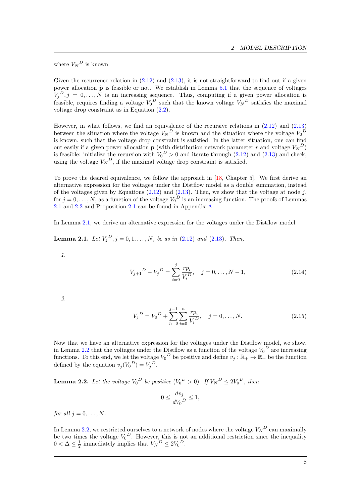where  $V_N^D$  is known.

Given the recurrence relation in  $(2.12)$  and  $(2.13)$ , it is not straightforward to find out if a given power allocation  $\tilde{p}$  is feasible or not. We establish in Lemma [5.1](#page-16-1) that the sequence of voltages  $V_j^D$ ,  $j = 0, \ldots, N$  is an increasing sequence. Thus, computing if a given power allocation is feasible, requires finding a voltage  $V_0^D$  such that the known voltage  $V_N^D$  satisfies the maximal voltage drop constraint as in Equation [\(2.2\)](#page-6-3).

However, in what follows, we find an equivalence of the recursive relations in [\(2.12\)](#page-7-8) and [\(2.13\)](#page-7-9) between the situation where the voltage  $V_N^D$  is known and the situation where the voltage  $V_0^D$ is known, such that the voltage drop constraint is satisfied. In the latter situation, one can find out easily if a given power allocation **p** (with distribution network parameter r and voltage  $V_N^D$ ) is feasible: initialize the recursion with  $V_0^D > 0$  and iterate through [\(2.12\)](#page-7-8) and [\(2.13\)](#page-7-9) and check, using the voltage  $V_N^D$ , if the maximal voltage drop constraint is satisfied.

To prove the desired equivalence, we follow the approach in [\[18,](#page-40-14) Chapter 5]. We first derive an alternative expression for the voltages under the Distflow model as a double summation, instead of the voltages given by Equations  $(2.12)$  and  $(2.13)$ . Then, we show that the voltage at node j, for  $j = 0, \ldots, N$ , as a function of the voltage  $V_0^D$  is an increasing function. The proofs of Lemmas [2.1](#page-8-0) and [2.2](#page-8-1) and Proposition [2.1](#page-9-0) can be found in Appendix [A.](#page-22-0)

In Lemma [2.1,](#page-8-0) we derive an alternative expression for the voltages under the Distflow model.

<span id="page-8-0"></span>**Lemma 2.1.** Let  $V_j^D$ ,  $j = 0, 1, ..., N$ , be as in  $(2.12)$  and  $(2.13)$ . Then,

1.

<span id="page-8-3"></span>
$$
V_{j+1}^D - V_j^D = \sum_{i=0}^j \frac{rp_i}{V_i^D}, \quad j = 0, \dots, N-1,
$$
\n(2.14)

2.

$$
V_j^D = V_0^D + \sum_{n=0}^{j-1} \sum_{i=0}^n \frac{rp_i}{V_i^D}, \quad j = 0, \dots, N.
$$
 (2.15)

Now that we have an alternative expression for the voltages under the Distflow model, we show, in Lemma [2.2](#page-8-1) that the voltages under the Distflow as a function of the voltage  $V_0^D$  are increasing functions. To this end, we let the voltage  $V_0^D$  be positive and define  $v_j : \mathbb{R}_+ \to \mathbb{R}_+$  be the function defined by the equation  $v_j(V_0^D) = V_j^D$ .

<span id="page-8-1"></span>**Lemma 2.2.** Let the voltage  $V_0^D$  be positive  $(V_0^D > 0)$ . If  $V_N^D \leq 2V_0^D$ , then

<span id="page-8-2"></span>
$$
0 \le \frac{dv_j}{dV_0^D} \le 1,
$$

for all  $j = 0, \ldots, N$ .

In Lemma [2.2,](#page-8-1) we restricted ourselves to a network of nodes where the voltage  $V_N^D$  can maximally be two times the voltage  $V_0^D$ . However, this is not an additional restriction since the inequality  $0 < \Delta \leq \frac{1}{2}$  immediately implies that  $V_N^D \leq 2V_0^D$ .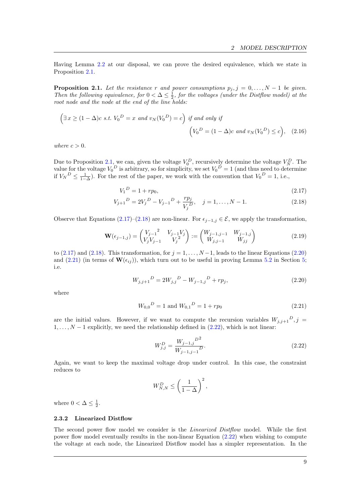Having Lemma [2.2](#page-8-1) at our disposal, we can prove the desired equivalence, which we state in Proposition [2.1.](#page-9-0)

<span id="page-9-0"></span>**Proposition 2.1.** Let the resistance r and power consumptions  $p_j$ ,  $j = 0, ..., N - 1$  be given. Then the following equivalence, for  $0 < \Delta \leq \frac{1}{2}$ , for the voltages (under the Distflow model) at the root node and the node at the end of the line holds:

$$
\left(\exists x \ge (1 - \Delta)c \text{ s.t. } V_0^D = x \text{ and } v_N(V_0^D) = c\right) \text{ if and only if}
$$

$$
\left(V_0^D = (1 - \Delta)c \text{ and } v_N(V_0^D) \le c\right), \quad (2.16)
$$

where  $c > 0$ .

Due to Proposition [2.1,](#page-9-0) we can, given the voltage  $V_0^D$ , recursively determine the voltage  $V_N^D$ . The value for the voltage  $V_0^D$  is arbitrary, so for simplicity, we set  $V_0^D = 1$  (and thus need to determine if  $V_N^D \n\leq \frac{1}{1-\Delta}$ ). For the rest of the paper, we work with the convention that  $V_0^D = 1$ , i.e.,

<span id="page-9-6"></span><span id="page-9-2"></span><span id="page-9-1"></span>
$$
V_1^D = 1 + r p_0,\tag{2.17}
$$

$$
V_{j+1}^D = 2V_j^D - V_{j-1}^D + \frac{rp_j}{V_j^D}, \quad j = 1, \dots, N-1.
$$
 (2.18)

Observe that Equations [\(2.17\)](#page-9-1)–[\(2.18\)](#page-9-2) are non-linear. For  $\epsilon_{i-1,i} \in \mathcal{E}$ , we apply the transformation,

$$
\mathbf{W}(\epsilon_{j-1,j}) = \begin{pmatrix} V_{j-1}^2 & V_{j-1}V_j \\ V_jV_{j-1} & V_j^2 \end{pmatrix} := \begin{pmatrix} W_{j-1,j-1} & W_{j-1,j} \\ W_{j,j-1} & W_{jj} \end{pmatrix}
$$
(2.19)

to [\(2.17\)](#page-9-1) and [\(2.18\)](#page-9-2). This transformation, for  $j = 1, \ldots, N-1$ , leads to the linear Equations [\(2.20\)](#page-9-3) and [\(2.21\)](#page-9-4) (in terms of  $\mathbf{W}(\epsilon_{ij})$ ), which turn out to be useful in proving Lemma [5.2](#page-17-0) in Section [5;](#page-16-0) i.e.

$$
W_{j,j+1}{}^{D} = 2W_{j,j}{}^{D} - W_{j-1,j}{}^{D} + rp_j,
$$
\n(2.20)

where

$$
W_{0,0}{}^D = 1 \text{ and } W_{0,1}{}^D = 1 + rp_0 \tag{2.21}
$$

are the initial values. However, if we want to compute the recursion variables  $W_{j,j+1}^D$ ,  $j =$  $1, \ldots, N-1$  explicitly, we need the relationship defined in [\(2.22\)](#page-9-5), which is not linear:

<span id="page-9-5"></span><span id="page-9-4"></span><span id="page-9-3"></span>
$$
W_{j,j}^D = \frac{W_{j-1,j}^D{}^2}{W_{j-1,j-1}^D}.
$$
\n(2.22)

Again, we want to keep the maximal voltage drop under control. In this case, the constraint reduces to

$$
W_{N,N}^D \le \left(\frac{1}{1-\Delta}\right)^2,
$$

where  $0 < \Delta \leq \frac{1}{2}$ .

#### 2.3.2 Linearized Distflow

The second power flow model we consider is the *Linearized Distflow* model. While the first power flow model eventually results in the non-linear Equation  $(2.22)$  when wishing to compute the voltage at each node, the Linearized Distflow model has a simpler representation. In the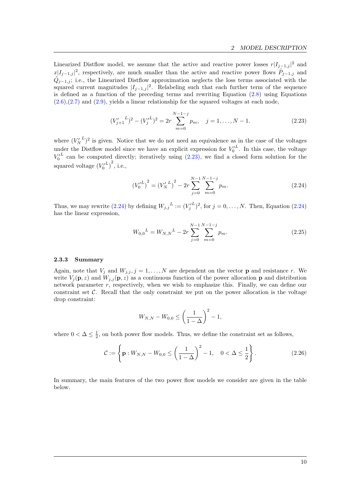Linearized Distflow model, we assume that the active and reactive power losses  $r|I_{j-1,j}|^2$  and  $x|I_{j-1,j}|^2$ , respectively, are much smaller than the active and reactive power flows  $\tilde{P}_{j-1,j}$  and  $\tilde{Q}_{j-1,j}$ ; i.e., the Linearized Distflow approximation neglects the loss terms associated with the squared current magnitudes  $|I_{j-1,j}|^2$ . Relabeling such that each further term of the sequence is defined as a function of the preceding terms and rewriting Equation [\(2.8\)](#page-7-4) using Equations  $(2.6), (2.7)$  $(2.6), (2.7)$  $(2.6), (2.7)$  and  $(2.9),$  $(2.9),$  yields a linear relationship for the squared voltages at each node,

$$
(V'_{j+1}^L)^2 - (V'^L_j)^2 = 2r \sum_{m=0}^{N-1-j} p_m, \quad j = 1, \dots, N-1.
$$
 (2.23)

where  $(V_N^L)^2$  is given. Notice that we do not need an equivalence as in the case of the voltages under the Distflow model since we have an explicit expression for  $V_0^L$ . In this case, the voltage  $V_0^L$  can be computed directly; iteratively using  $(2.23)$ , we find a closed form solution for the squared voltage  $(V_0^{\prime L})^2$ , i.e.,

<span id="page-10-2"></span><span id="page-10-1"></span>
$$
\left(V_0^{\prime L}\right)^2 = \left(V_N^{\prime L}\right)^2 - 2r \sum_{j=0}^{N-1} \sum_{m=0}^{N-1-j} p_m. \tag{2.24}
$$

Thus, we may rewrite [\(2.24\)](#page-10-2) by defining  $W_{j,j}^L := (V_j^L)^2$ , for  $j = 0, \ldots, N$ . Then, Equation (2.24) has the linear expression,

<span id="page-10-4"></span>
$$
W_{0,0}{}^{L} = W_{N,N}{}^{L} - 2r \sum_{j=0}^{N-1} \sum_{m=0}^{N-1-j} p_m.
$$
 (2.25)

### <span id="page-10-0"></span>2.3.3 Summary

Again, note that  $V_j$  and  $W_{j,j}$ ,  $j = 1, ..., N$  are dependent on the vector **p** and resistance r. We write  $V_i(\mathbf{p}, z)$  and  $W_{i,i}(\mathbf{p}, z)$  as a continuous function of the power allocation p and distribution network parameter r, respectively, when we wish to emphasize this. Finally, we can define our constraint set  $\mathcal{C}$ . Recall that the only constraint we put on the power allocation is the voltage drop constraint:

<span id="page-10-3"></span>
$$
W_{N,N} - W_{0,0} \le \left(\frac{1}{1-\Delta}\right)^2 - 1,
$$

where  $0 < \Delta \leq \frac{1}{2}$ , on both power flow models. Thus, we define the constraint set as follows,

$$
C := \left\{ \mathbf{p} : W_{N,N} - W_{0,0} \le \left( \frac{1}{1 - \Delta} \right)^2 - 1, \quad 0 < \Delta \le \frac{1}{2} \right\}.
$$
\n(2.26)

In summary, the main features of the two power flow models we consider are given in the table below.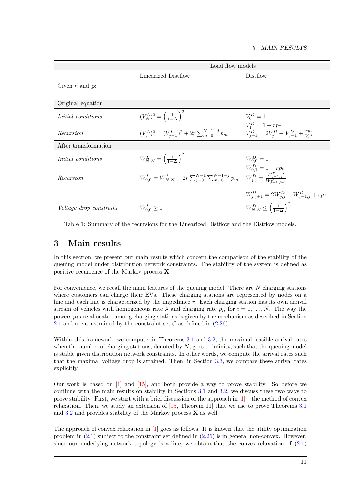<span id="page-11-1"></span>

|                                | Load flow models                                                                                                       |                                                       |  |
|--------------------------------|------------------------------------------------------------------------------------------------------------------------|-------------------------------------------------------|--|
|                                | Linearized Distflow                                                                                                    | Distriow                                              |  |
| Given $r$ and $p$ :            |                                                                                                                        |                                                       |  |
|                                |                                                                                                                        |                                                       |  |
| Original equation              |                                                                                                                        |                                                       |  |
| <i>Initial</i> conditions      | $(V_N^L)^2 = \left(\frac{1}{1-\Delta}\right)^2$                                                                        | $V_0^D = 1$                                           |  |
|                                |                                                                                                                        | $V_1^D = 1 + r p_0$                                   |  |
| Recursion                      | $(V_i^L)^2 = (V_{i-1}^L)^2 + 2r \sum_{m=0}^{N-1-j} p_m$                                                                | $V_{j+1}^D = 2V_j^D - V_{j-1}^D + \frac{rp_j}{V_j^D}$ |  |
| After transformation           |                                                                                                                        |                                                       |  |
| <i>Initial</i> conditions      | $W_{N,N}^L=\left(\frac{1}{1-\Delta}\right)^2$                                                                          | $W_{0.0}^D = 1$                                       |  |
|                                |                                                                                                                        | $W_{0,1}^D = 1 + rp_0$                                |  |
| Recursion                      | $W_{0,0}^L = W_{N,N}^L - 2r \sum_{j=0}^{N-1} \sum_{m=0}^{N-1-j} p_m \quad W_{j,j}^D = \frac{W_{j-1,j}^D}{W_{j-1,j}^D}$ |                                                       |  |
|                                |                                                                                                                        | $W_{j,j+1}^D = 2W_{j,j}^D - W_{j-1,j}^D + rp_j$       |  |
| <i>Voltage drop constraint</i> | $W_{0,0}^L \geq 1$                                                                                                     | $W_{N,N}^D \leq \left(\frac{1}{1-\Delta}\right)^2$    |  |
|                                |                                                                                                                        |                                                       |  |

Table 1: Summary of the recursions for the Linearized Distflow and the Distflow models.

### <span id="page-11-0"></span>3 Main results

In this section, we present our main results which concern the comparison of the stability of the queuing model under distribution network constraints. The stability of the system is defined as positive recurrence of the Markov process X.

For convenience, we recall the main features of the queuing model. There are N charging stations where customers can charge their EVs. These charging stations are represented by nodes on a line and each line is characterized by the impedance r. Each charging station has its own arrival stream of vehicles with homogeneous rate  $\lambda$  and charging rate  $p_i$ , for  $i = 1, ..., N$ . The way the powers  $p_i$  are allocated among charging stations is given by the mechanism as described in Section [2.1](#page-4-1) and are constrained by the constraint set  $\mathcal C$  as defined in [\(2.26\)](#page-10-3).

Within this framework, we compute, in Theorems [3.1](#page-12-0) and [3.2,](#page-12-1) the maximal feasible arrival rates when the number of charging stations, denoted by  $N$ , goes to infinity, such that the queuing model is stable given distribution network constraints. In other words, we compute the arrival rates such that the maximal voltage drop is attained. Then, in Section [3.3,](#page-13-0) we compare these arrival rates explicitly.

Our work is based on [\[1\]](#page-39-0) and [\[15\]](#page-40-12), and both provide a way to prove stability. So before we continue with the main results on stability in Sections [3.1](#page-12-2) and [3.2,](#page-12-3) we discuss these two ways to prove stability. First, we start with a brief discussion of the approach in  $[1]$  – the method of convex relaxation. Then, we study an extension of [\[15,](#page-40-12) Theorem 11] that we use to prove Theorems [3.1](#page-12-0) and  $3.2$  and provides stability of the Markov process  $X$  as well.

The approach of convex relaxation in [\[1\]](#page-39-0) goes as follows. It is known that the utility optimization problem in [\(2.1\)](#page-5-1) subject to the constraint set defined in [\(2.26\)](#page-10-3) is in general non-convex. However, since our underlying network topology is a line, we obtain that the convex-relaxation of  $(2.1)$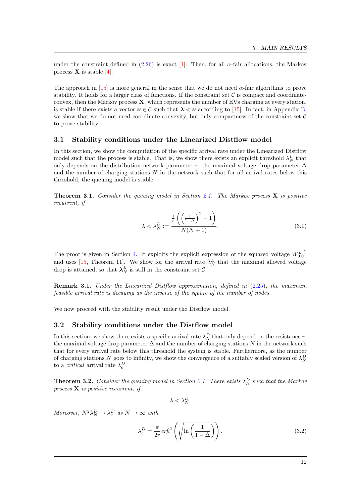under the constraint defined in  $(2.26)$  is exact [\[1\]](#page-39-0). Then, for all  $\alpha$ -fair allocations, the Markov process  $X$  is stable [\[4\]](#page-40-15).

The approach in [\[15\]](#page-40-12) is more general in the sense that we do not need  $\alpha$ -fair algorithms to prove stability. It holds for a larger class of functions. If the constraint set  $\mathcal C$  is compact and coordinateconvex, then the Markov process  $\bf{X}$ , which represents the number of EVs charging at every station, is stable if there exists a vector  $v \in C$  such that  $\lambda < v$  according to [\[15\]](#page-40-12). In fact, in Appendix [B,](#page-24-0) we show that we do not need coordinate-convexity, but only compactness of the constraint set  $C$ to prove stability.

### <span id="page-12-2"></span>3.1 Stability conditions under the Linearized Distflow model

In this section, we show the computation of the specific arrival rate under the Linearized Distflow model such that the process is stable. That is, we show there exists an explicit threshold  $\lambda_N^L$  that only depends on the distribution network parameter r, the maximal voltage drop parameter  $\Delta$ and the number of charging stations  $N$  in the network such that for all arrival rates below this threshold, the queuing model is stable.

**Theorem 3.1.** Consider the queuing model in Section [2.1.](#page-4-1) The Markov process  $X$  is positive recurrent, if

<span id="page-12-0"></span>
$$
\lambda < \lambda_N^L := \frac{\frac{1}{r} \left( \left( \frac{1}{1 - \Delta} \right)^2 - 1 \right)}{N(N + 1)}.
$$
\n(3.1)

The proof is given in Section [4.](#page-14-0) It exploits the explicit expression of the squared voltage  $W_{0,0}^L$ 2 and uses [\[15,](#page-40-12) Theorem 11]. We show for the arrival rate  $\lambda_N^L$  that the maximal allowed voltage drop is attained, so that  $\lambda_N^L$  is still in the constraint set C.

Remark 3.1. Under the Linearized Distflow approximation, defined in [\(2.25\)](#page-10-4), the maximum feasible arrival rate is decaying as the inverse of the square of the number of nodes.

<span id="page-12-3"></span>We now proceed with the stability result under the Distflow model.

#### 3.2 Stability conditions under the Distflow model

In this section, we show there exists a specific arrival rate  $\lambda_N^D$  that only depend on the resistance r, the maximal voltage drop parameter  $\Delta$  and the number of charging stations N in the network such that for every arrival rate below this threshold the system is stable. Furthermore, as the number of charging stations N goes to infinity, we show the convergence of a suitably scaled version of  $\lambda_N^D$ to a *critical* arrival rate  $\lambda_c^D$ .

**Theorem 3.2.** Consider the queuing model in Section [2.1.](#page-4-1) There exists  $\lambda_N^D$  such that the Markov process  $X$  is positive recurrent, if

<span id="page-12-1"></span> $\lambda < \lambda_N^D$ .

Moreover,  $N^2 \lambda_N^D \rightarrow \lambda_c^D$  as  $N \rightarrow \infty$  with

$$
\lambda_c^D = \frac{\pi}{2r} \, erf^2 \left( \sqrt{\ln \left( \frac{1}{1 - \Delta} \right)} \right). \tag{3.2}
$$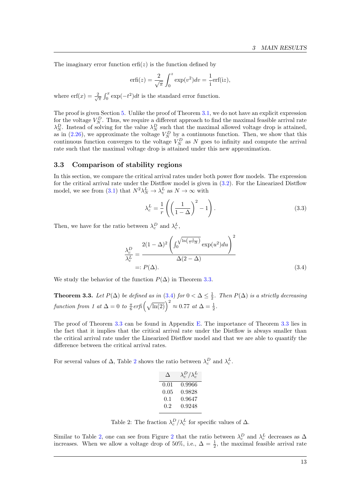The imaginary error function  $\text{erfi}(z)$  is the function defined by

$$
\text{erfi}(z) = \frac{2}{\sqrt{\pi}} \int_0^z \exp(v^2) dv = \frac{1}{i} \text{erf}(iz),
$$

where  $\mathrm{erf}(x) = \frac{2}{\sqrt{\pi}} \int_0^x \exp(-t^2) dt$  is the standard error function.

The proof is given Section [5.](#page-16-0) Unlike the proof of Theorem [3.1,](#page-12-0) we do not have an explicit expression for the voltage  $V_N^D$ . Thus, we require a different approach to find the maximal feasible arrival rate  $\lambda_N^D$ . Instead of solving for the value  $\lambda_N^D$  such that the maximal allowed voltage drop is attained, as in [\(2.26\)](#page-10-3), we approximate the voltage  $V_N^D$  by a continuous function. Then, we show that this continuous function converges to the voltage  $V_N^D$  as N goes to infinity and compute the arrival rate such that the maximal voltage drop is attained under this new approximation.

### <span id="page-13-0"></span>3.3 Comparison of stability regions

In this section, we compare the critical arrival rates under both power flow models. The expression for the critical arrival rate under the Distflow model is given in [\(3.2\)](#page-12-1). For the Linearized Distflow model, we see from [\(3.1\)](#page-12-0) that  $N^2 \lambda_N^L \to \lambda_c^L$  as  $N \to \infty$  with

<span id="page-13-4"></span><span id="page-13-2"></span>
$$
\lambda_c^L = \frac{1}{r} \left( \left( \frac{1}{1 - \Delta} \right)^2 - 1 \right). \tag{3.3}
$$

Then, we have for the ratio between  $\lambda_c^D$  and  $\lambda_c^L$ ,

$$
\frac{\lambda_c^D}{\lambda_c^L} = \frac{2(1-\Delta)^2 \left( \int_0^{\sqrt{\ln\left(\frac{1}{1-\Delta}\right)}} \exp(u^2) du \right)^2}{\Delta(2-\Delta)}
$$
\n
$$
=: P(\Delta). \tag{3.4}
$$

We study the behavior of the function  $P(\Delta)$  in Theorem [3.3.](#page-13-1)

<span id="page-13-1"></span>**Theorem 3.3.** Let  $P(\Delta)$  be defined as in [\(3.4\)](#page-13-2) for  $0 < \Delta \leq \frac{1}{2}$ . Then  $P(\Delta)$  is a strictly decreasing function from 1 at  $\Delta = 0$  to  $\frac{\pi}{6}$ erfi $(\sqrt{\ln(2)})^2 \approx 0.77$  at  $\Delta = \frac{1}{2}$ .

The proof of Theorem [3.3](#page-13-1) can be found in Appendix [E.](#page-37-0) The importance of Theorem [3.3](#page-13-1) lies in the fact that it implies that the critical arrival rate under the Distflow is always smaller than the critical arrival rate under the Linearized Distflow model and that we are able to quantify the difference between the critical arrival rates.

<span id="page-13-3"></span>For several values of  $\Delta$ , Table [2](#page-13-3) shows the ratio between  $\lambda_c^D$  and  $\lambda_c^L$ .

| $\lambda_c^D/\lambda_c^L$ |
|---------------------------|
| 0.9966                    |
| 0.9828                    |
| 0.9647                    |
| 0.9248                    |
|                           |

Table 2: The fraction  $\lambda_c^D/\lambda_c^L$  for specific values of  $\Delta$ .

Similar to Table [2,](#page-13-3) one can see from Figure [2](#page-14-1) that the ratio between  $\lambda_c^D$  and  $\lambda_c^L$  decreases as  $\Delta$ increases. When we allow a voltage drop of 50%, i.e.,  $\Delta = \frac{1}{2}$ , the maximal feasible arrival rate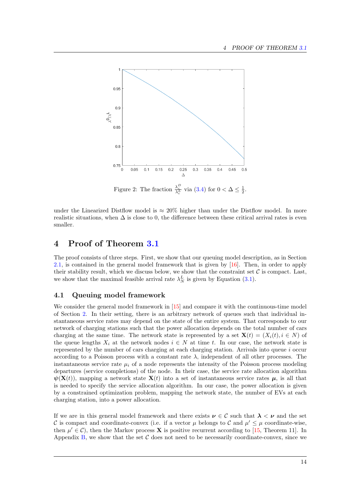<span id="page-14-1"></span>

under the Linearized Distflow model is  $\approx 20\%$  higher than under the Distflow model. In more realistic situations, when  $\Delta$  is close to 0, the difference between these critical arrival rates is even smaller.

## <span id="page-14-0"></span>4 Proof of Theorem [3.1](#page-12-0)

The proof consists of three steps. First, we show that our queuing model description, as in Section [2.1,](#page-4-1) is contained in the general model framework that is given by [\[16\]](#page-40-13). Then, in order to apply their stability result, which we discuss below, we show that the constraint set  $\mathcal C$  is compact. Last, we show that the maximal feasible arrival rate  $\lambda_N^L$  is given by Equation [\(3.1\)](#page-12-0).

### <span id="page-14-2"></span>4.1 Queuing model framework

We consider the general model framework in  $[15]$  and compare it with the continuous-time model of Section [2.](#page-4-0) In their setting, there is an arbitrary network of queues such that individual instantaneous service rates may depend on the state of the entire system. That corresponds to our network of charging stations such that the power allocation depends on the total number of cars charging at the same time. The network state is represented by a set  $\mathbf{X}(t) = (X_i(t), i \in N)$  of the queue lengths  $X_i$  at the network nodes  $i \in N$  at time t. In our case, the network state is represented by the number of cars charging at each charging station. Arrivals into queue  $i$  occur according to a Poisson process with a constant rate  $\lambda$ , independent of all other processes. The instantaneous service rate  $\mu_i$  of a node represents the intensity of the Poisson process modeling departures (service completions) of the node. In their case, the service rate allocation algorithm  $\psi(\mathbf{X}(t))$ , mapping a network state  $\mathbf{X}(t)$  into a set of instantaneous service rates  $\boldsymbol{\mu}$ , is all that is needed to specify the service allocation algorithm. In our case, the power allocation is given by a constrained optimization problem, mapping the network state, the number of EVs at each charging station, into a power allocation.

If we are in this general model framework and there exists  $\nu \in C$  such that  $\lambda < \nu$  and the set C is compact and coordinate-convex (i.e. if a vector  $\mu$  belongs to C and  $\mu' \leq \mu$  coordinate-wise, then  $\mu' \in \mathcal{C}$ ), then the Markov process **X** is positive recurrent according to [\[15,](#page-40-12) Theorem 11]. In Appendix [B,](#page-24-0) we show that the set  $\mathcal C$  does not need to be necessarily coordinate-convex, since we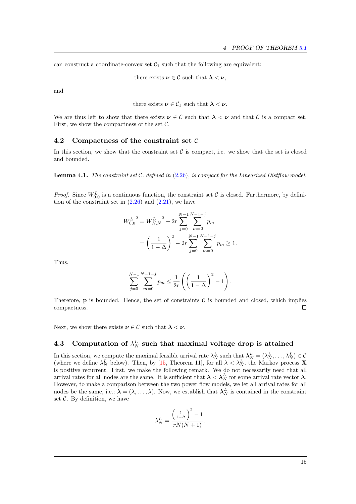can construct a coordinate-convex set  $C_1$  such that the following are equivalent:

there exists  $\nu \in \mathcal{C}$  such that  $\lambda < \nu$ ,

and

there exists 
$$
\nu \in C_1
$$
 such that  $\lambda < \nu$ .

We are thus left to show that there exists  $\nu \in C$  such that  $\lambda < \nu$  and that C is a compact set. First, we show the compactness of the set  $C$ .

### 4.2 Compactness of the constraint set  $\mathcal C$

In this section, we show that the constraint set  $\mathcal C$  is compact, i.e. we show that the set is closed and bounded.

**Lemma 4.1.** The constraint set  $C$ , defined in [\(2.26\)](#page-10-3), is compact for the Linearized Distflow model.

*Proof.* Since  $W_{0,0}^L$  is a continuous function, the constraint set C is closed. Furthermore, by definition of the constraint set in  $(2.26)$  and  $(2.21)$ , we have

$$
W_{0,0}^{L^2} = W_{N,N}^{L^2} - 2r \sum_{j=0}^{N-1} \sum_{m=0}^{N-1-j} p_m
$$
  
=  $\left(\frac{1}{1-\Delta}\right)^2 - 2r \sum_{j=0}^{N-1} \sum_{m=0}^{N-1-j} p_m \ge 1.$ 

Thus,

$$
\sum_{j=0}^{N-1} \sum_{m=0}^{N-1-j} p_m \le \frac{1}{2r} \left( \left( \frac{1}{1-\Delta} \right)^2 - 1 \right).
$$

Therefore, **p** is bounded. Hence, the set of constraints  $\mathcal{C}$  is bounded and closed, which implies compactness.  $\Box$ 

Next, we show there exists  $\nu \in \mathcal{C}$  such that  $\lambda < \nu$ .

# 4.3 Computation of  $\lambda_N^L$  such that maximal voltage drop is attained

In this section, we compute the maximal feasible arrival rate  $\lambda_N^L$  such that  $\lambda_N^L = (\lambda_N^L, \dots, \lambda_N^L) \in \mathcal{C}$ (where we define  $\lambda_N^L$  below). Then, by [\[15,](#page-40-12) Theorem 11], for all  $\lambda < \lambda_N^L$ , the Markov process **X** is positive recurrent. First, we make the following remark. We do not necessarily need that all arrival rates for all nodes are the same. It is sufficient that  $\lambda < \lambda_N^L$  for some arrival rate vector  $\lambda$ . However, to make a comparison between the two power flow models, we let all arrival rates for all nodes be the same, i.e.;  $\lambda = (\lambda, \ldots, \lambda)$ . Now, we establish that  $\lambda_N^L$  is contained in the constraint set  $C$ . By definition, we have

$$
\lambda_N^L = \frac{\left(\frac{1}{1-\Delta}\right)^2 - 1}{rN(N+1)}.
$$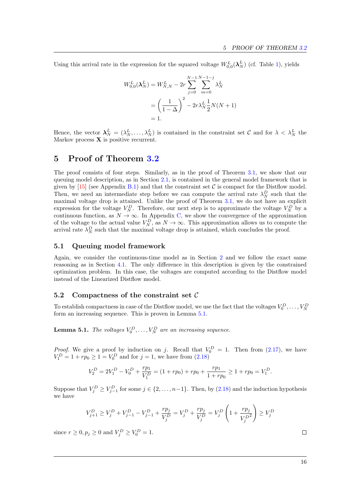Using this arrival rate in the expression for the squared voltage  $W_{0,0}^L(\lambda_N^L)$  (cf. Table [1\)](#page-11-1), yields

$$
W_{0,0}^{L}(\lambda_{N}^{L}) = W_{N,N}^{L} - 2r \sum_{j=0}^{N-1} \sum_{m=0}^{N-1-j} \lambda_{N}^{L}
$$
  
= 
$$
\left(\frac{1}{1-\Delta}\right)^{2} - 2r \lambda_{N}^{L} \frac{1}{2} N(N+1)
$$
  
= 1.

Hence, the vector  $\lambda_N^L = (\lambda_N^L, \dots, \lambda_N^L)$  is contained in the constraint set C and for  $\lambda < \lambda_N^L$  the Markov process  $X$  is positive recurrent.

## <span id="page-16-0"></span>5 Proof of Theorem [3.2](#page-12-1)

The proof consists of four steps. Similarly, as in the proof of Theorem [3.1,](#page-12-0) we show that our queuing model description, as in Section [2.1,](#page-4-1) is contained in the general model framework that is given by [\[15\]](#page-40-12) (see Appendix [B.1\)](#page-24-1) and that the constraint set  $\mathcal C$  is compact for the Distflow model. Then, we need an intermediate step before we can compute the arrival rate  $\lambda_N^D$  such that the maximal voltage drop is attained. Unlike the proof of Theorem [3.1,](#page-12-0) we do not have an explicit expression for the voltage  $V_N^D$ . Therefore, our next step is to approximate the voltage  $V_N^D$  by a continuous function, as  $N \to \infty$ . In Appendix [C,](#page-25-0) we show the convergence of the approximation of the voltage to the actual value  $V_N^D$ , as  $N \to \infty$ . This approximation allows us to compute the arrival rate  $\lambda_N^D$  such that the maximal voltage drop is attained, which concludes the proof.

### 5.1 Queuing model framework

Again, we consider the continuous-time model as in Section [2](#page-4-0) and we follow the exact same reasoning as in Section [4.1.](#page-14-2) The only difference in this description is given by the constrained optimization problem. In this case, the voltages are computed according to the Distflow model instead of the Linearized Distflow model.

### 5.2 Compactness of the constraint set  $\mathcal C$

To establish compactness in case of the Distflow model, we use the fact that the voltages  $V_0^D, \ldots, V_N^D$ form an increasing sequence. This is proven in Lemma [5.1.](#page-16-1)

<span id="page-16-1"></span>**Lemma 5.1.** The voltages  $V_0^D, \ldots, V_N^D$  are an increasing sequence.

*Proof.* We give a proof by induction on j. Recall that  $V_0^D = 1$ . Then from [\(2.17\)](#page-9-1), we have  $V_1^D = 1 + rp_0 \ge 1 = V_0^D$  and for  $j = 1$ , we have from  $(2.18)$ 

$$
V_2^D = 2V_1^D - V_0^D + \frac{rp_1}{V_1^D} = (1 + rp_0) + rp_0 + \frac{rp_1}{1 + rp_0} \ge 1 + rp_0 = V_1^D.
$$

Suppose that  $V_j^D \geq V_{j-1}^D$  for some  $j \in \{2, \ldots, n-1\}$ . Then, by  $(2.18)$  and the induction hypothesis we have

$$
V_{j+1}^D \ge V_j^D + V_{j-1}^D - V_{j-1}^D + \frac{rp_j}{V_j^D} = V_j^D + \frac{rp_j}{V_j^D} = V_j^D \left(1 + \frac{rp_j}{V_j^D}\right) \ge V_j^D
$$

since  $r \ge 0, p_j \ge 0$  and  $V_j^D \ge V_0^D = 1$ .

 $\Box$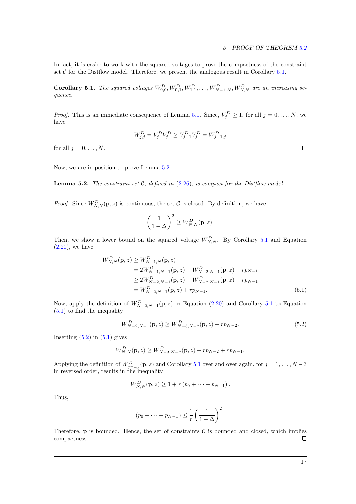In fact, it is easier to work with the squared voltages to prove the compactness of the constraint set  $\mathcal C$  for the Distflow model. Therefore, we present the analogous result in Corollary [5.1.](#page-17-1)

<span id="page-17-1"></span>**Corollary 5.1.** The squared voltages  $W_{0,0}^D, W_{0,1}^D, W_{1,1}^D, \ldots, W_{N-1,N}^D, W_{N,N}^D$  are an increasing sequence.

*Proof.* This is an immediate consequence of Lemma [5.1.](#page-16-1) Since,  $V_j^D \geq 1$ , for all  $j = 0, \ldots, N$ , we have

$$
W_{j,j}^D = V_j^D V_j^D \ge V_{j-1}^D V_j^D = W_{j-1,j}^D
$$

for all  $j = 0, \ldots, N$ .

Now, we are in position to prove Lemma [5.2.](#page-17-0)

<span id="page-17-0"></span>**Lemma 5.2.** The constraint set  $C$ , defined in  $(2.26)$ , is compact for the Distribution model.

*Proof.* Since  $W_{N,N}^D(\mathbf{p}, z)$  is continuous, the set C is closed. By definition, we have

$$
\left(\frac{1}{1-\Delta}\right)^2 \ge W_{N,N}^D(\mathbf{p},z).
$$

Then, we show a lower bound on the squared voltage  $W_{N,N}^D$ . By Corollary [5.1](#page-17-1) and Equation  $(2.20)$ , we have

$$
W_{N,N}^D(\mathbf{p}, z) \ge W_{N-1,N}^D(\mathbf{p}, z)
$$
  
=  $2W_{N-1,N-1}^D(\mathbf{p}, z) - W_{N-2,N-1}^D(\mathbf{p}, z) + rp_{N-1}$   
 $\ge 2W_{N-2,N-1}^D(\mathbf{p}, z) - W_{N-2,N-1}^D(\mathbf{p}, z) + rp_{N-1}$   
=  $W_{N-2,N-1}^D(\mathbf{p}, z) + rp_{N-1}.$  (5.1)

Now, apply the definition of  $W_{N-2,N-1}^D(\mathbf{p},z)$  in Equation [\(2.20\)](#page-9-3) and Corollary [5.1](#page-17-1) to Equation [\(5.1\)](#page-17-2) to find the inequality

$$
W_{N-2,N-1}^D(\mathbf{p},z) \ge W_{N-3,N-2}^D(\mathbf{p},z) + r p_{N-2}.
$$
\n(5.2)

Inserting  $(5.2)$  in  $(5.1)$  gives

$$
W_{N,N}^D(\mathbf{p},z) \ge W_{N-3,N-2}^D(\mathbf{p},z) + r p_{N-2} + r p_{N-1}.
$$

Applying the definition of  $W_{j-1,j}^D(\mathbf{p}, z)$  and Corollary [5.1](#page-17-1) over and over again, for  $j = 1, \ldots, N-3$ in reversed order, results in the inequality

$$
W_{N,N}^D(\mathbf{p},z) \ge 1 + r (p_0 + \dots + p_{N-1}).
$$

Thus,

$$
(p_0 + \dots + p_{N-1}) \leq \frac{1}{r} \left( \frac{1}{1 - \Delta} \right)^2.
$$

Therefore,  $\bf{p}$  is bounded. Hence, the set of constraints C is bounded and closed, which implies compactness.  $\Box$ 

<span id="page-17-3"></span><span id="page-17-2"></span> $\Box$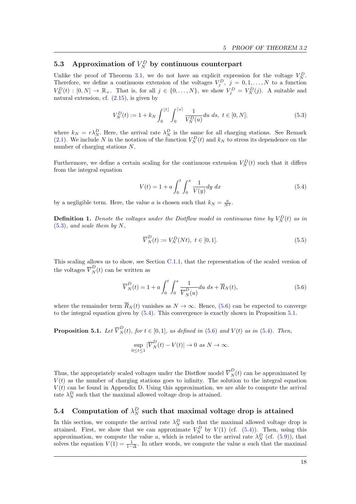# <span id="page-18-0"></span>5.3 Approximation of  $V_N^D$  by continuous counterpart

Unlike the proof of Theorem [3.1,](#page-12-0) we do not have an explicit expression for the voltage  $V_N^D$ . Therefore, we define a continuous extension of the voltages  $V_j^D$ ,  $j = 0, 1, ..., N$  to a function  $V_N^D(t) : [0, N] \to \mathbb{R}_+$ . That is, for all  $j \in \{0, ..., N\}$ , we show  $V_j^D = V_N^D(j)$ . A suitable and natural extension, cf.  $(2.15)$ , is given by

$$
V_N^D(t) := 1 + k_N \int_0^{\lfloor t \rfloor} \int_0^{\lceil s \rceil} \frac{1}{V_N^D(u)} du \, ds, \ t \in [0, N]; \tag{5.3}
$$

where  $k_N = r \lambda_N^D$ . Here, the arrival rate  $\lambda_N^D$  is the same for all charging stations. See Remark [\(2.1\)](#page-4-2). We include N in the notation of the function  $V_N^D(t)$  and  $k_N$  to stress its dependence on the number of charging stations N.

Furthermore, we define a certain scaling for the continuous extension  $V_N^D(t)$  such that it differs from the integral equation

<span id="page-18-3"></span><span id="page-18-1"></span>
$$
V(t) = 1 + a \int_0^t \int_0^x \frac{1}{V(y)} dy dx
$$
 (5.4)

by a negligible term. Here, the value a is chosen such that  $k_N = \frac{a}{N^2}$ .

<span id="page-18-7"></span>**Definition 1.** Denote the voltages under the Distflow model in continuous time by  $V_N^D(t)$  as in  $(5.3)$ , and scale them by N,

<span id="page-18-6"></span><span id="page-18-2"></span>
$$
\overline{V}_{N}^{D}(t) := V_{N}^{D}(Nt), \ t \in [0,1].
$$
\n(5.5)

This scaling allows us to show, see Section [C.1.1,](#page-26-0) that the representation of the scaled version of the voltages  $\overline{V}_N^D(t)$  can be written as

$$
\overline{V}_N^D(t) = 1 + a \int_0^t \int_0^s \frac{1}{\overline{V}_N^D(u)} du \, ds + \overline{R}_N(t), \tag{5.6}
$$

where the remainder term  $\overline{R}_N(t)$  vanishes as  $N \to \infty$ . Hence, [\(5.6\)](#page-18-2) can be expected to converge to the integral equation given by [\(5.4\)](#page-18-3). This convergence is exactly shown in Proposition [5.1.](#page-18-4)

<span id="page-18-4"></span>**Proposition 5.1.** Let  $\overline{V}_N^D(t)$ , for  $t \in [0,1]$ , as defined in [\(5.6\)](#page-18-2) and  $V(t)$  as in [\(5.4\)](#page-18-3). Then,

$$
\sup_{0 \le t \le 1} |\overline{V}_N^D(t) - V(t)| \to 0 \text{ as } N \to \infty.
$$

Thus, the appropriately scaled voltages under the Distflow model  $\overline{V}_N^D(t)$  can be approximated by  $V(t)$  as the number of charging stations goes to infinity. The solution to the integral equation  $V(t)$  can be found in Appendix [D.](#page-35-0) Using this approximation, we are able to compute the arrival rate  $\lambda_N^D$  such that the maximal allowed voltage drop is attained.

# <span id="page-18-5"></span>5.4 Computation of  $\lambda_N^D$  such that maximal voltage drop is attained

In this section, we compute the arrival rate  $\lambda_N^D$  such that the maximal allowed voltage drop is attained. First, we show that we can approximate  $V_N^D$  by  $V(1)$  (cf. [\(5.4\)](#page-18-3)). Then, using this approximation, we compute the value a, which is related to the arrival rate  $\lambda_N^D$  (cf. [\(5.9\)](#page-19-0)), that solves the equation  $V(1) = \frac{1}{1-\Delta}$ . In other words, we compute the value a such that the maximal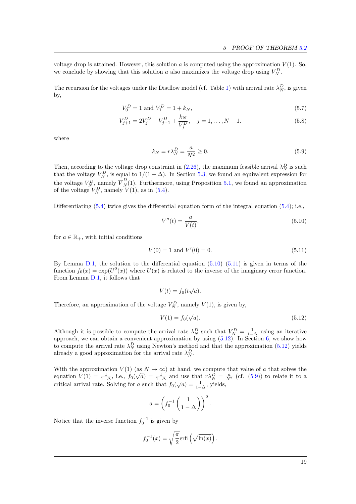voltage drop is attained. However, this solution  $a$  is computed using the approximation  $V(1)$ . So, we conclude by showing that this solution a also maximizes the voltage drop using  $V_N^D$ .

The recursion for the voltages under the Distflow model (cf. Table [1\)](#page-11-1) with arrival rate  $\lambda_N^D$ , is given by,

$$
V_0^D = 1 \text{ and } V_1^D = 1 + k_N,\tag{5.7}
$$

$$
V_{j+1}^D = 2V_j^D - V_{j-1}^D + \frac{k_N}{V_j^D}, \quad j = 1, ..., N-1.
$$
 (5.8)

where

<span id="page-19-5"></span><span id="page-19-4"></span><span id="page-19-0"></span>
$$
k_N = r\lambda_N^D = \frac{a}{N^2} \ge 0.
$$
\n
$$
(5.9)
$$

Then, according to the voltage drop constraint in [\(2.26\)](#page-10-3), the maximum feasible arrival  $\lambda_N^D$  is such that the voltage  $V_N^D$ , is equal to  $1/(1 - \Delta)$ . In Section [5.3,](#page-18-0) we found an equivalent expression for the voltage  $V_N^D$ , namely  $\overline{V}_N^D(1)$ . Furthermore, using Proposition [5.1,](#page-18-4) we found an approximation of the voltage  $V_N^D$ , namely  $V(1)$ , as in [\(5.4\)](#page-18-3).

Differentiating  $(5.4)$  twice gives the differential equation form of the integral equation  $(5.4)$ ; i.e.,

<span id="page-19-2"></span><span id="page-19-1"></span>
$$
V''(t) = \frac{a}{V(t)},\tag{5.10}
$$

for  $a \in \mathbb{R}_+$ , with initial conditions

$$
V(0) = 1 \text{ and } V'(0) = 0. \tag{5.11}
$$

By Lemma [D.1,](#page-35-1) the solution to the differential equation  $(5.10)$ – $(5.11)$  is given in terms of the function  $f_0(x) = \exp(U^2(x))$  where  $U(x)$  is related to the inverse of the imaginary error function. From Lemma [D.1,](#page-35-1) it follows that

$$
V(t) = f_0(t\sqrt{a}).
$$

Therefore, an approximation of the voltage  $V_N^D$ , namely  $V(1)$ , is given by,

<span id="page-19-3"></span>
$$
V(1) = f_0(\sqrt{a}).
$$
\n(5.12)

Although it is possible to compute the arrival rate  $\lambda_N^D$  such that  $V_N^D = \frac{1}{1-\Delta}$  using an iterative approach, we can obtain a convenient approximation by using  $(5.12)$ . In Section [6,](#page-20-0) we show how to compute the arrival rate  $\lambda_N^D$  using Newton's method and that the approximation [\(5.12\)](#page-19-3) yields already a good approximation for the arrival rate  $\lambda_N^D$ .

With the approximation  $V(1)$  (as  $N \to \infty$ ) at hand, we compute that value of a that solves the With the approximation  $V(1)$  (as  $N \to \infty$ ) at hand, we compute that value of a that solves the equation  $V(1) = \frac{1}{1-\Delta}$ , i.e.,  $f_0(\sqrt{a}) = \frac{1}{1-\Delta}$  and use that  $r\lambda_N^D = \frac{a}{N^2}$  (cf. [\(5.9\)](#page-19-0)) to relate it to a critical arrival rate. Solving for a such that  $f_0(\sqrt{a}) = \frac{1}{1-\Delta}$ , yields,

$$
a = \left(f_0^{-1}\left(\frac{1}{1-\Delta}\right)\right)^2.
$$

Notice that the inverse function  $f_0^{-1}$  is given by

$$
f_0^{-1}(x) = \sqrt{\frac{\pi}{2}} \text{erfi}\left(\sqrt{\ln(x)}\right).
$$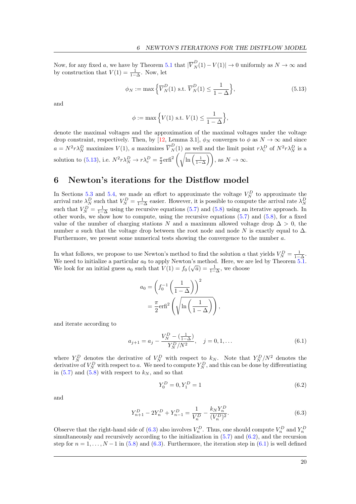Now, for any fixed a, we have by Theorem [5.1](#page-18-4) that  $|\overline{V}_{N}^{D}(1) - V(1)| \to 0$  uniformly as  $N \to \infty$  and by construction that  $V(1) = \frac{1}{1-\Delta}$ . Now, let

$$
\phi_N := \max\left\{\overline{V}_N^D(1) \text{ s.t. } \overline{V}_N^D(1) \le \frac{1}{1-\Delta}\right\},\tag{5.13}
$$

and

<span id="page-20-1"></span>
$$
\phi := \max \left\{ V(1) \text{ s.t. } V(1) \le \frac{1}{1 - \Delta} \right\},\
$$

denote the maximal voltages and the approximation of the maximal voltages under the voltage drop constraint, respectively. Then, by [\[12,](#page-40-16) Lemma 3.1],  $\phi_N$  converges to  $\phi$  as  $N \to \infty$  and since  $a = N^2 r \lambda_N^D$  maximizes  $V(1)$ , a maximizes  $\overline{V}_N^D(1)$  as well and the limit point  $r \lambda_c^D$  of  $N^2 r \lambda_N^D$  is a solution to [\(5.13\)](#page-20-1), i.e.  $N^2 r \lambda_N^D \to r \lambda_c^D = \frac{\pi}{2} \text{erfi}^2 \left( \sqrt{\ln \left( \frac{1}{1-\Delta} \right)} \right)$ , as  $N \to \infty$ .

## <span id="page-20-0"></span>6 Newton's iterations for the Distflow model

In Sections [5.3](#page-18-0) and [5.4,](#page-18-5) we made an effort to approximate the voltage  $V_N^D$  to approximate the arrival rate  $\lambda_N^D$  such that  $V_N^D = \frac{1}{1-\Delta}$  easier. However, it is possible to compute the arrival rate  $\lambda_N^D$ such that  $V_N^D = \frac{1}{1-\Delta}$  using the recursive equations [\(5.7\)](#page-19-4) and [\(5.8\)](#page-19-5) using an iterative approach. In other words, we show how to compute, using the recursive equations  $(5.7)$  and  $(5.8)$ , for a fixed value of the number of charging stations N and a maximum allowed voltage drop  $\Delta > 0$ , the number a such that the voltage drop between the root node and node N is exactly equal to  $\Delta$ . Furthermore, we present some numerical tests showing the convergence to the number a.

In what follows, we propose to use Newton's method to find the solution a that yields  $V_N^D = \frac{1}{1-\Delta}$ . We need to initialize a particular  $a_0$  to apply Newton's method. Here, we are led by Theorem [5.1.](#page-18-4) We look for an initial guess  $a_0$  such that  $V(1) = f_0(\sqrt{a}) = \frac{1}{1-\Delta}$ , we choose

$$
a_0 = \left(f_0^{-1}\left(\frac{1}{1-\Delta}\right)\right)^2
$$

$$
= \frac{\pi}{2}\text{erfi}^2\left(\sqrt{\ln\left(\frac{1}{1-\Delta}\right)}\right)
$$

and iterate according to

$$
a_{j+1} = a_j - \frac{V_N^D - \left(\frac{1}{1-\Delta}\right)}{Y_N^D / N^2}, \quad j = 0, 1, \dots
$$
\n(6.1)

<span id="page-20-4"></span><span id="page-20-3"></span><span id="page-20-2"></span>,

where  $Y_N^D$  denotes the derivative of  $V_N^D$  with respect to  $k_N$ . Note that  $Y_N^D/N^2$  denotes the derivative of  $V_N^D$  with respect to a. We need to compute  $Y_N^D$ , and this can be done by differentiating in [\(5.7\)](#page-19-4) and [\(5.8\)](#page-19-5) with respect to  $k_N$ , and so that

$$
Y_0^D = 0, Y_1^D = 1 \tag{6.2}
$$

and

$$
Y_{n+1}^D - 2Y_n^D + Y_{n-1}^D = \frac{1}{V_n^D} - \frac{k_N Y_n^D}{(V_n^D)^2}.
$$
\n(6.3)

Observe that the right-hand side of [\(6.3\)](#page-20-2) also involves  $V_n^D$ . Thus, one should compute  $V_n^D$  and  $Y_n^D$ simultaneously and recursively according to the initialization in [\(5.7\)](#page-19-4) and [\(6.2\)](#page-20-3), and the recursion step for  $n = 1, \ldots, N-1$  in [\(5.8\)](#page-19-5) and [\(6.3\)](#page-20-2). Furthermore, the iteration step in [\(6.1\)](#page-20-4) is well defined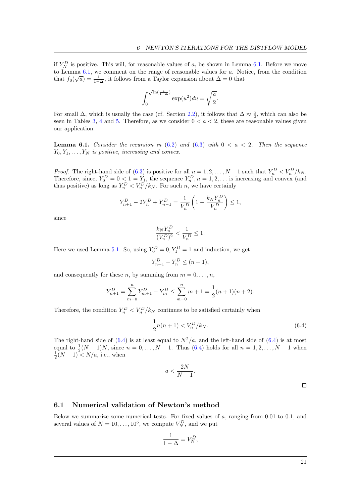if  $Y_N^D$  is positive. This will, for reasonable values of a, be shown in Lemma [6.1.](#page-21-0) Before we move to Lemma [6.1,](#page-21-0) we comment on the range of reasonable values for a. Notice, from the condition that  $f_0(\sqrt{a}) = \frac{1}{1-\Delta}$ , it follows from a Taylor expansion about  $\Delta = 0$  that

$$
\int_0^{\sqrt{\ln\left(\frac{1}{1-\Delta}\right)}} \exp(u^2) du = \sqrt{\frac{a}{2}}.
$$

For small  $\Delta$ , which is usually the case (cf. Section [2.2\)](#page-5-0), it follows that  $\Delta \approx \frac{a}{2}$ , which can also be seen in Tables [3,](#page-22-1) [4](#page-22-2) and [5.](#page-22-3) Therefore, as we consider  $0 < a < 2$ , these are reasonable values given our application.

<span id="page-21-0"></span>**Lemma 6.1.** Consider the recursion in  $(6.2)$  and  $(6.3)$  with  $0 < a < 2$ . Then the sequence  $Y_0, Y_1, \ldots, Y_N$  is positive, increasing and convex.

*Proof.* The right-hand side of [\(6.3\)](#page-20-2) is positive for all  $n = 1, 2, ..., N - 1$  such that  $Y_n^D < V_n^D/k_N$ . Therefore, since,  $Y_0^D = 0 \le 1 = Y_1$ , the sequence  $Y_n^D, n = 1, 2, \ldots$  is increasing and convex (and thus positive) as long as  $Y_n^D < V_n^D/k_N$ . For such n, we have certainly

$$
Y_{n+1}^D - 2Y_n^D + Y_{n-1}^D = \frac{1}{V_n^D} \left( 1 - \frac{k_N Y_n^D}{V_n^D} \right) \le 1,
$$

since

$$
\frac{k_N Y^D_n}{(V^D_n)^2} < \frac{1}{V^D_n} \le 1.
$$

Here we used Lemma [5.1.](#page-16-1) So, using  $Y_0^D = 0, Y_1^D = 1$  and induction, we get

$$
Y_{n+1}^D - Y_n^D \le (n+1),
$$

and consequently for these n, by summing from  $m = 0, \ldots, n$ ,

$$
Y_{n+1}^D = \sum_{m=0}^n Y_{m+1}^D - Y_m^D \le \sum_{m=0}^n m + 1 = \frac{1}{2}(n+1)(n+2).
$$

Therefore, the condition  $Y_n^D < V_n^D/k_N$  continues to be satisfied certainly when

$$
\frac{1}{2}n(n+1) < V_n^D/k_N. \tag{6.4}
$$

The right-hand side of  $(6.4)$  is at least equal to  $N^2/a$ , and the left-hand side of  $(6.4)$  is at most equal to  $\frac{1}{2}(N-1)N$ , since  $n = 0, ..., N-1$ . Thus [\(6.4\)](#page-21-1) holds for all  $n = 1, 2, ..., N-1$  when  $\frac{1}{2}(N-1) < N/a$ , i.e., when

$$
a < \frac{2N}{N-1}.
$$

<span id="page-21-1"></span> $\Box$ 

### 6.1 Numerical validation of Newton's method

Below we summarize some numerical tests. For fixed values of  $a$ , ranging from 0.01 to 0.1, and several values of  $N = 10, ..., 10^5$ , we compute  $V_N^D$ , and we put

$$
\frac{1}{1-\Delta} = V_N^D,
$$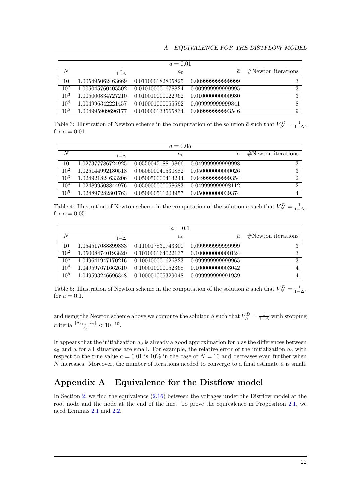<span id="page-22-1"></span>

| $a = 0.01$      |                       |                   |                   |                      |
|-----------------|-----------------------|-------------------|-------------------|----------------------|
| N               | $\overline{1-\Delta}$ | $a_0$             | $\overline{a}$    | $#Newton$ iterations |
| 10              | 1.005495062463669     | 0.011000182805825 | 0.009999999999999 | 3                    |
| 10 <sup>2</sup> | 1.005045760405502     | 0.010100001678824 | 0.009999999999995 | 3                    |
| $10^3$          | 1.005000834727210     | 0.010010000022962 | 0.010000000000980 | 3                    |
| 10 <sup>4</sup> | 1.004996342221457     | 0.010001000055592 | 0.009999999999841 | 8                    |
| $10^{5}$        | 1.004995909696177     | 0.010000133565834 | 0.009999999993546 | 9                    |

Table 3: Illustration of Newton scheme in the computation of the solution  $\bar{a}$  such that  $V^D_N = \frac{1}{1-\Delta}$ , for  $a = 0.01$ .

<span id="page-22-2"></span>

| $a = 0.05$      |                   |                   |                   |                      |
|-----------------|-------------------|-------------------|-------------------|----------------------|
| N               | $1-\Delta$        | $a_0$             | ā                 | $#Newton$ iterations |
| 10              | 1.027377786724925 | 0.055004518819866 | 0.049999999999998 | 3                    |
| $10^{2}$        | 1.025144992180518 | 0.050500041530882 | 0.050000000000026 | 3                    |
| $10^{3}$        | 1.024921824633206 | 0.050050000413244 | 0.049999999999354 | റ                    |
| 10 <sup>4</sup> | 1.024899508844976 | 0.050005000058683 | 0.049999999998112 | റ                    |
| $10^{5}$        | 1.024897282801763 | 0.050000511203957 | 0.050000000039374 |                      |

Table 4: Illustration of Newton scheme in the computation of the solution  $\bar{a}$  such that  $V_N^D = \frac{1}{1-\Delta}$ , for  $a = 0.05$ .

<span id="page-22-3"></span>

| $a = 0.1$       |                   |                   |                   |                      |
|-----------------|-------------------|-------------------|-------------------|----------------------|
| N               | $1-\Delta$        | $a_0$             | $\bar{a}$         | $#Newton$ iterations |
| 10              | 1.054517088899833 | 0.110017830743300 | 0.099999999999999 | 3                    |
| $10^{2}$        | 1.050084740193820 | 0.101000164022137 | 0.100000000000124 | 3                    |
| $10^3$          | 1.049641947170216 | 0.100100001626823 | 0.099999999999965 | 3                    |
| 10 <sup>4</sup> | 1.049597671662610 | 0.100010000152368 | 0.100000000003042 |                      |
| $10^{5}$        | 1.049593246696348 | 0.100001005329048 | 0.099999999991939 |                      |

Table 5: Illustration of Newton scheme in the computation of the solution  $\bar{a}$  such that  $V_N^D = \frac{1}{1-\Delta}$ , for  $a = 0.1$ .

and using the Newton scheme above we compute the solution  $\bar{a}$  such that  $V_N^D = \frac{1}{1-\Delta}$  with stopping criteria  $\frac{|a_{j+1}-a_j|}{a_j} < 10^{-10}$ .

It appears that the initialization  $a_0$  is already a good approximation for a as the differences between  $a_0$  and a for all situations are small. For example, the relative error of the initialization  $a_0$  with respect to the true value  $a = 0.01$  is 10% in the case of  $N = 10$  and decreases even further when N increases. Moreover, the number of iterations needed to converge to a final estimate  $\bar{a}$  is small.

# <span id="page-22-0"></span>Appendix A Equivalence for the Distflow model

In Section [2,](#page-4-0) we find the equivalence  $(2.16)$  between the voltages under the Distflow model at the root node and the node at the end of the line. To prove the equivalence in Proposition [2.1,](#page-9-0) we need Lemmas [2.1](#page-8-0) and [2.2.](#page-8-1)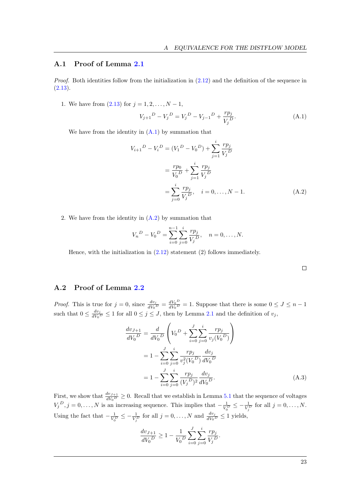### A.1 Proof of Lemma [2.1](#page-8-0)

Proof. Both identities follow from the initialization in [\(2.12\)](#page-7-8) and the definition of the sequence in  $(2.13).$  $(2.13).$ 

1. We have from  $(2.13)$  for  $j = 1, 2, ..., N - 1$ ,

<span id="page-23-0"></span>
$$
V_{j+1}{}^{D} - V_{j}{}^{D} = V_{j}{}^{D} - V_{j-1}{}^{D} + \frac{rp_{j}}{V_{j}{}^{D}}.
$$
\n(A.1)

We have from the identity in  $(A.1)$  by summation that

$$
V_{i+1}^{D} - V_{i}^{D} = (V_{1}^{D} - V_{0}^{D}) + \sum_{j=1}^{i} \frac{rp_{j}}{V_{j}^{D}}
$$
  
=  $\frac{rp_{0}}{V_{0}^{D}} + \sum_{j=1}^{i} \frac{rp_{j}}{V_{j}^{D}}$   
=  $\sum_{j=0}^{i} \frac{rp_{j}}{V_{j}^{D}}, \quad i = 0, ..., N - 1.$  (A.2)

2. We have from the identity in [\(A.2\)](#page-23-1) by summation that

$$
V_n^D - V_0^D = \sum_{i=0}^{n-1} \sum_{j=0}^i \frac{rp_j}{V_j^D}, \quad n = 0, \dots, N.
$$

Hence, with the initialization in  $(2.12)$  statement  $(2)$  follows immediately.

<span id="page-23-2"></span><span id="page-23-1"></span> $\Box$ 

### A.2 Proof of Lemma [2.2](#page-8-1)

*Proof.* This is true for  $j = 0$ , since  $\frac{dv_j}{dV_0 D} = \frac{dV_0 D}{dV_0 D}$  $\frac{dV_0}{dV_0} = 1$ . Suppose that there is some  $0 \le J \le n-1$ such that  $0 \leq \frac{dv_j}{dV_j}$  $\frac{dv_j}{dV_0 D} \le 1$  for all  $0 \le j \le J$ , then by Lemma [2.1](#page-8-0) and the definition of  $v_j$ ,

$$
\frac{dv_{J+1}}{dV_0^D} = \frac{d}{dV_0^D} \left( V_0^D + \sum_{i=0}^J \sum_{j=0}^i \frac{rp_j}{v_j(V_0^D)} \right)
$$
  
=  $1 - \sum_{i=0}^J \sum_{j=0}^i \frac{rp_j}{v_j^2(V_0^D)} \frac{dv_j}{dV_0^D}$   
=  $1 - \sum_{i=0}^J \sum_{j=0}^i \frac{rp_j}{(V_j^D)^2} \frac{dv_j}{dV_0^D}.$  (A.3)

First, we show that  $\frac{dv_{J+1}}{dV_0} \geq 0$ . Recall that we establish in Lemma [5.1](#page-16-1) that the sequence of voltages  $V_j^D$ ,  $j = 0, \ldots, N$  is an increasing sequence. This implies that  $-\frac{1}{V_0^D} \le -\frac{1}{V_j^D}$  for all  $j = 0, \ldots, N$ . Using the fact that  $-\frac{1}{V_0^D} \leq -\frac{1}{V_j^D}$  for all  $j = 0, \ldots, N$  and  $\frac{dv_j}{dV_0^D} \leq 1$  yields,

$$
\frac{dv_{J+1}}{dV_0^D} \ge 1 - \frac{1}{V_0^D} \sum_{i=0}^J \sum_{j=0}^i \frac{rp_j}{V_j^D}.
$$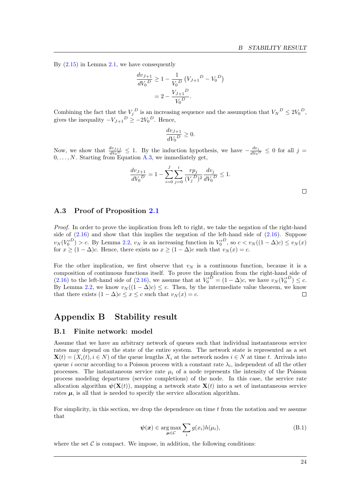By  $(2.15)$  in Lemma [2.1,](#page-8-0) we have consequently

$$
\frac{dv_{J+1}}{dV_0^D} \ge 1 - \frac{1}{V_0^D} (V_{J+1}^D - V_0^D)
$$

$$
= 2 - \frac{V_{J+1}^D}{V_0^D}.
$$

Combining the fact that the  $V_j^D$  is an increasing sequence and the assumption that  $V_N^D \leq 2V_0^D$ , gives the inequality  $-V_{J+1}{}^{D} \ge -2V_0{}^{D}$ . Hence,

$$
\frac{dv_{J+1}}{dV_0^D} \ge 0.
$$

Now, we show that  $\frac{dv_{J+1}}{dV_0}\leq 1$ . By the induction hypothesis, we have  $-\frac{dv_j}{dV_0}$  $\frac{dv_j}{dV_0^D} \leq 0$  for all  $j =$  $0, \ldots, N$ . Starting from Equation [A.3,](#page-23-2) we immediately get,

$$
\frac{dv_{J+1}}{dV_0^D} = 1 - \sum_{i=0}^{J} \sum_{j=0}^{i} \frac{rp_j}{(V_j^D)^2} \frac{dv_j}{dV_0^D} \le 1.
$$

### A.3 Proof of Proposition [2.1](#page-9-0)

Proof. In order to prove the implication from left to right, we take the negation of the right-hand side of  $(2.16)$  and show that this implies the negation of the left-hand side of  $(2.16)$ . Suppose  $v_N(V_0^{D}) > c$ . By Lemma [2.2,](#page-8-1)  $v_N$  is an increasing function in  $V_0^{D}$ , so  $c < v_N((1 - \Delta)c) \le v_N(x)$ for  $x \ge (1 - \Delta)c$ . Hence, there exists no  $x \ge (1 - \Delta)c$  such that  $v_N(x) = c$ .

For the other implication, we first observe that  $v<sub>N</sub>$  is a continuous function, because it is a composition of continuous functions itself. To prove the implication from the right-hand side of  $(2.16)$  to the left-hand side of  $(2.16)$ , we assume that at  $V_0^{D} = (1 - \Delta)c$ , we have  $v_N(V_0^{D}) \leq c$ . By Lemma [2.2,](#page-8-1) we know  $v_N((1 - \Delta)c) \leq c$ . Then, by the intermediate value theorem, we know that there exists  $(1 - \Delta)c \leq x \leq c$  such that  $v_N(x) = c$ .  $\Box$ 

### <span id="page-24-1"></span><span id="page-24-0"></span>Appendix B Stability result

### B.1 Finite network: model

Assume that we have an arbitrary network of queues such that individual instantaneous service rates may depend on the state of the entire system. The network state is represented as a set  $\mathbf{X}(t) = (X_i(t), i \in N)$  of the queue lengths  $X_i$  at the network nodes  $i \in N$  at time t. Arrivals into queue i occur according to a Poisson process with a constant rate  $\lambda_i$ , independent of all the other processes. The instantaneous service rate  $\mu_i$  of a node represents the intensity of the Poisson process modeling departures (service completions) of the node. In this case, the service rate allocation algorithm  $\psi(\mathbf{X}(t))$ , mapping a network state  $\mathbf{X}(t)$  into a set of instantaneous service rates  $\mu$ , is all that is needed to specify the service allocation algorithm.

For simplicity, in this section, we drop the dependence on time  $t$  from the notation and we assume that

$$
\psi(\boldsymbol{x}) \in \underset{\boldsymbol{\mu} \in \mathcal{C}}{\arg \max} \sum_{i} g(x_i) h(\mu_i), \tag{B.1}
$$

where the set  $\mathcal C$  is compact. We impose, in addition, the following conditions:

 $\Box$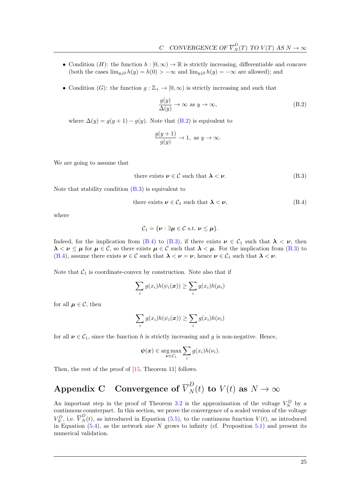- Condition (H): the function  $h : [0, \infty) \to \mathbb{R}$  is strictly increasing, differentiable and concave (both the cases  $\lim_{y\downarrow 0} h(y) = h(0) > -\infty$  and  $\lim_{y\downarrow 0} h(y) = -\infty$  are allowed); and
- Condition (G): the function  $g : \mathbb{Z}_+ \to [0, \infty)$  is strictly increasing and such that

<span id="page-25-1"></span>
$$
\frac{g(y)}{\Delta(y)} \to \infty \text{ as } y \to \infty,
$$
\n(B.2)

where  $\Delta(y) = g(y+1) - g(y)$ . Note that [\(B.2\)](#page-25-1) is equivalent to

<span id="page-25-3"></span><span id="page-25-2"></span>
$$
\frac{g(y+1)}{g(y)} \to 1, \text{ as } y \to \infty.
$$

We are going to assume that

there exists 
$$
\nu \in \mathcal{C}
$$
 such that  $\lambda < \nu$ . (B.3)

Note that stability condition  $(B.3)$  is equivalent to

there exists 
$$
\nu \in C_1
$$
 such that  $\lambda < \nu$ , (B.4)

where

$$
\mathcal{C}_1 = \{\boldsymbol{\nu} : \exists \boldsymbol{\mu} \in \mathcal{C} \text{ s.t. } \boldsymbol{\nu} \leq \boldsymbol{\mu}\}.
$$

Indeed, for the implication from [\(B.4\)](#page-25-3) to [\(B.3\)](#page-25-2), if there exists  $\nu \in C_1$  such that  $\lambda < \nu$ , then  $\lambda < \nu \leq \mu$  for  $\mu \in \mathcal{C}$ , so there exists  $\mu \in \mathcal{C}$  such that  $\lambda < \mu$ . For the implication from [\(B.3\)](#page-25-2) to [\(B.4\)](#page-25-3), assume there exists  $\nu \in \mathcal{C}$  such that  $\lambda < \nu = \nu$ , hence  $\nu \in \mathcal{C}_1$  such that  $\lambda < \nu$ .

Note that  $C_1$  is coordinate-convex by construction. Note also that if

$$
\sum_i g(x_i)h(\psi_i(\boldsymbol{x})) \ge \sum_i g(x_i)h(\mu_i)
$$

for all  $\mu \in \mathcal{C}$ , then

$$
\sum_i g(x_i)h(\psi_i(\boldsymbol{x})) \ge \sum_i g(x_i)h(\nu_i)
$$

for all  $\nu \in C_1$ , since the function h is strictly increasing and g is non-negative. Hence,

$$
\boldsymbol{\psi}(\boldsymbol{x}) \in \underset{\boldsymbol{\nu} \in \mathcal{C}_1}{\arg \max} \sum_i g(x_i) h(\nu_i).
$$

<span id="page-25-0"></span>Then, the rest of the proof of  $[15,$  Theorem 11] follows.

# Appendix C Convergence of  $\overline{V}_N^D(t)$  to  $V(t)$  as  $N \to \infty$

An important step in the proof of Theorem [3.2](#page-12-1) is the approximation of the voltage  $V_N^D$  by a continuous counterpart. In this section, we prove the convergence of a scaled version of the voltage  $V_N^D$ , i.e.  $\overline{V}_N^D(t)$ , as introduced in Equation [\(5.5\)](#page-18-6), to the continuous function  $V(t)$ , as introduced in Equation  $(5.4)$ , as the network size N grows to infinity (cf. Proposition [5.1\)](#page-18-4) and present its numerical validation.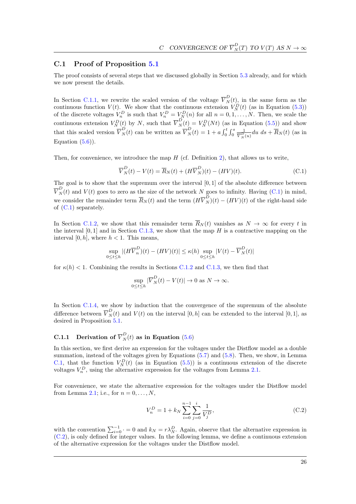### C.1 Proof of Proposition [5.1](#page-18-4)

The proof consists of several steps that we discussed globally in Section [5.3](#page-18-0) already, and for which we now present the details.

In Section [C.1.1,](#page-26-0) we rewrite the scaled version of the voltage  $\overline{V}_N^D(t)$ , in the same form as the continuous function  $V(t)$ . We show that the continuous extension  $V_N^D(t)$  (as in Equation [\(5.3\)](#page-18-1)) of the discrete voltages  $V_n^D$  is such that  $V_n^D = V_N^D(n)$  for all  $n = 0, 1, ..., N$ . Then, we scale the continuous extension  $V_N^D(t)$  by N, such that  $\overline{V}_N^D(t) = V_N^D(Nt)$  (as in Equation [\(5.5\)](#page-18-6)) and show that this scaled version  $\overline{V}_N^D(t)$  can be written as  $\overline{V}_N^D(t) = 1 + a \int_0^t \int_0^s \frac{1}{\overline{V}_s^D}$  $\frac{1}{\overline{V}_N^D(u)}du \, ds + R_N(t)$  (as in Equation  $(5.6)$ ).

Then, for convenience, we introduce the map  $H$  (cf. Definition [2\)](#page-29-0), that allows us to write,

<span id="page-26-1"></span>
$$
\overline{V}_{N}^{D}(t) - V(t) = \overline{R}_{N}(t) + (H\overline{V}_{N}^{D})(t) - (HV)(t).
$$
\n(C.1)

The goal is to show that the supremum over the interval  $[0, 1]$  of the absolute difference between  $\overline{V}_N^D(t)$  and  $V(t)$  goes to zero as the size of the network N goes to infinity. Having [\(C.1\)](#page-26-1) in mind, we consider the remainder term  $\overline{R}_N(t)$  and the term  $(H\overline{V}_N^D)(t) - (HV)(t)$  of the right-hand side of [\(C.1\)](#page-26-1) separately.

In Section [C.1.2,](#page-29-1) we show that this remainder term  $\overline{R}_N(t)$  vanishes as  $N \to \infty$  for every t in the interval  $[0, 1]$  and in Section [C.1.3,](#page-31-0) we show that the map  $H$  is a contractive mapping on the interval  $[0, h]$ , where  $h < 1$ . This means,

$$
\sup_{0\leq t\leq h}|(H\overline{V}_n^D)(t)-(HV)(t)|\leq \kappa(h)\sup_{0\leq t\leq h}|V(t)-\overline{V}_N^D(t)|
$$

for  $\kappa(h)$  < 1. Combining the results in Sections [C.1.2](#page-29-1) and [C.1.3,](#page-31-0) we then find that

$$
\sup_{0 \le t \le h} |\overline{V}_N^D(t) - V(t)| \to 0 \text{ as } N \to \infty.
$$

In Section [C.1.4,](#page-32-0) we show by induction that the convergence of the supremum of the absolute difference between  $\overline{V}_N^D(t)$  and  $V(t)$  on the interval  $[0,h]$  can be extended to the interval  $[0,1]$ , as desired in Proposition [5.1.](#page-18-4)

# <span id="page-26-0"></span>C.1.1 Derivation of  $\overline{V}_N^D(t)$  as in Equation [\(5.6\)](#page-18-2)

In this section, we first derive an expression for the voltages under the Distflow model as a double summation, instead of the voltages given by Equations [\(5.7\)](#page-19-4) and [\(5.8\)](#page-19-5). Then, we show, in Lemma [C.1,](#page-27-0) that the function  $V_N^D(t)$  (as in Equation [\(5.5\)](#page-18-6)) is a continuous extension of the discrete voltages  $V_n^D$ , using the alternative expression for the voltages from Lemma [2.1.](#page-8-0)

For convenience, we state the alternative expression for the voltages under the Distflow model from Lemma [2.1;](#page-8-0) i.e., for  $n = 0, \ldots, N$ ,

<span id="page-26-2"></span>
$$
V_n^D = 1 + k_N \sum_{i=0}^{n-1} \sum_{j=0}^i \frac{1}{V_j^D},\tag{C.2}
$$

with the convention  $\sum_{i=0}^{-1}$   $\cdot = 0$  and  $k_N = r\lambda_N^D$ . Again, observe that the alternative expression in [\(C.2\)](#page-26-2), is only defined for integer values. In the following lemma, we define a continuous extension of the alternative expression for the voltages under the Distflow model.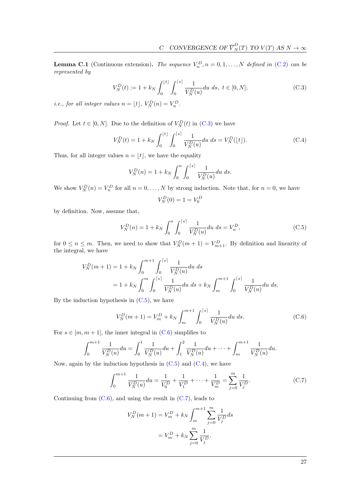<span id="page-27-0"></span>**Lemma C.1** (Continuous extension). The sequence  $V_n^D$ ,  $n = 0, 1, ..., N$  defined in [\(C.2\)](#page-26-2) can be represented by

$$
V_N^D(t) := 1 + k_N \int_0^{\lfloor t \rfloor} \int_0^{\lceil s \rceil} \frac{1}{V_N^D(u)} du \, ds, \ t \in [0, N]; \tag{C.3}
$$

*i.e., for all integer values*  $n = \lfloor t \rfloor, V_N^D(n) = V_n^D$ .

*Proof.* Let  $t \in [0, N]$ . Due to the definition of  $V_N^D(t)$  in [\(C.3\)](#page-27-1) we have

$$
V_N^D(t) = 1 + k_N \int_0^{\lfloor t \rfloor} \int_0^{\lceil s \rceil} \frac{1}{V_N^D(u)} du \, ds = V_N^D(\lfloor t \rfloor). \tag{C.4}
$$

Thus, for all integer values  $n = |t|$ , we have the equality

$$
V_N^D(n) = 1 + k_N \int_0^n \int_0^{\lceil s \rceil} \frac{1}{V_N^D(u)} du \, ds.
$$

We show  $V_N^D(n) = V_n^D$  for all  $n = 0, ..., N$  by strong induction. Note that, for  $n = 0$ , we have

<span id="page-27-4"></span><span id="page-27-2"></span><span id="page-27-1"></span>
$$
V_N^D(0) = 1 = V_0^D
$$

by definition. Now, assume that,

$$
V_N^D(n) = 1 + k_N \int_0^n \int_0^{\lceil s \rceil} \frac{1}{V_N^D(u)} du \, ds = V_n^D,
$$
\n(C.5)

for  $0 \le n \le m$ . Then, we need to show that  $V_N^D(m+1) = V_{m+1}^D$ . By definition and linearity of the integral, we have

$$
V_N^D(m+1) = 1 + k_N \int_0^{m+1} \int_0^{\lceil s \rceil} \frac{1}{V_N^D(u)} du \, ds
$$
  
=  $1 + k_N \int_0^m \int_0^{\lceil s \rceil} \frac{1}{V_N^D(u)} du \, ds + k_N \int_m^{m+1} \int_0^{\lceil s \rceil} \frac{1}{V_N^D(u)} du \, ds.$ 

By the induction hypothesis in  $(C.5)$ , we have

<span id="page-27-3"></span>
$$
V_N^D(m+1) = V_m^D + k_N \int_m^{m+1} \int_0^{\lceil s \rceil} \frac{1}{V_N^D(u)} du \, ds. \tag{C.6}
$$

For  $s \in [m, m + 1]$ , the inner integral in [\(C.6\)](#page-27-3) simplifies to

$$
\int_0^{m+1} \frac{1}{V_N^D(u)} du = \int_0^1 \frac{1}{V_N^D(u)} du + \int_1^2 \frac{1}{V_N^D(u)} du + \dots + \int_m^{m+1} \frac{1}{V_N^D(u)} du.
$$

Now, again by the induction hypothesis in  $(C.5)$  and  $(C.4)$ , we have

$$
\int_0^{m+1} \frac{1}{V_N^D(u)} du = \frac{1}{V_0^D} + \frac{1}{V_1^D} + \dots + \frac{1}{V_m^D} = \sum_{j=0}^m \frac{1}{V_j^D}.
$$
 (C.7)

Continuing from  $(C.6)$ , and using the result in  $(C.7)$ , leads to

<span id="page-27-5"></span>
$$
V_N^D(m+1) = V_m^D + k_N \int_m^{m+1} \sum_{j=0}^m \frac{1}{V_j^D} ds
$$
  
=  $V_m^D + k_N \sum_{j=0}^m \frac{1}{V_j^D}.$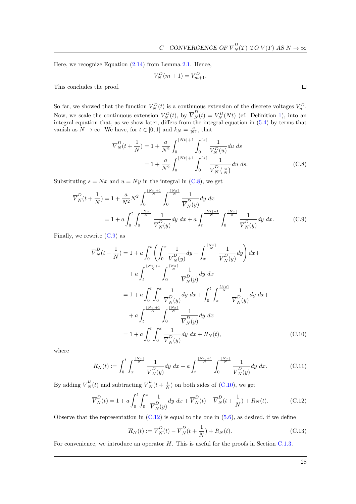Here, we recognize Equation [\(2.14\)](#page-8-3) from Lemma [2.1.](#page-8-0) Hence,

$$
V_N^D(m + 1) = V_{m+1}^D.
$$

This concludes the proof.

So far, we showed that the function  $V_N^D(t)$  is a continuous extension of the discrete voltages  $V_n^D$ . Now, we scale the continuous extension  $V_N^D(t)$ , by  $\overline{V}_N^D(t) = V_N^D(Nt)$  (cf. Definition [1\)](#page-18-7), into an integral equation that, as we show later, differs from the integral equation in [\(5.4\)](#page-18-3) by terms that vanish as  $N \to \infty$ . We have, for  $t \in [0,1]$  and  $k_N = \frac{a}{N^2}$ , that

$$
\overline{V}_{N}^{D}(t+\frac{1}{N}) = 1 + \frac{a}{N^{2}} \int_{0}^{\lfloor Nt \rfloor + 1} \int_{0}^{\lceil s \rceil} \frac{1}{V_{N}^{D}(u)} du \, ds
$$

$$
= 1 + \frac{a}{N^{2}} \int_{0}^{\lfloor Nt \rfloor + 1} \int_{0}^{\lceil s \rceil} \frac{1}{\overline{V}_{N}^{D}(\frac{u}{N})} du \, ds. \tag{C.8}
$$

Substituting  $s = Nx$  and  $u = Ny$  in the integral in [\(C.8\)](#page-28-0), we get

$$
\overline{V}_{N}^{D}(t+\frac{1}{N}) = 1 + \frac{a}{N^{2}} N^{2} \int_{0}^{\frac{\lfloor Nt \rfloor + 1}{N}} \int_{0}^{\frac{\lceil Nx \rceil}{N}} \frac{1}{\overline{V}_{N}^{D}(y)} dy dx
$$
\n
$$
= 1 + a \int_{0}^{t} \int_{0}^{\frac{\lceil Nx \rceil}{N}} \frac{1}{\overline{V}_{N}^{D}(y)} dy dx + a \int_{t}^{\frac{\lceil Nx \rceil + 1}{N}} \int_{0}^{\frac{\lceil Nx \rceil}{N}} \frac{1}{\overline{V}_{N}^{D}(y)} dy dx. \tag{C.9}
$$

Finally, we rewrite  $(C.9)$  as

$$
\overline{V}_{N}^{D}(t + \frac{1}{N}) = 1 + a \int_{0}^{t} \left( \int_{0}^{x} \frac{1}{\overline{V}_{N}^{D}(y)} dy + \int_{x}^{\frac{\lceil Nx \rceil}{N}} \frac{1}{\overline{V}_{N}^{D}(y)} dy \right) dx +
$$
  
+ 
$$
a \int_{t}^{\frac{\lceil Nt \rceil + 1}{N}} \int_{0}^{\frac{\lceil Nx \rceil}{N}} \frac{1}{\overline{V}_{N}^{D}(y)} dy dx
$$
  
= 
$$
1 + a \int_{0}^{t} \int_{0}^{x} \frac{1}{\overline{V}_{N}^{D}(y)} dy dx + \int_{0}^{t} \int_{x}^{\frac{\lceil Nx \rceil}{N}} \frac{1}{\overline{V}_{N}^{D}(y)} dy dx +
$$
  
+ 
$$
a \int_{t}^{\frac{\lceil Nt \rceil + 1}{N}} \int_{0}^{\frac{\lceil Nx \rceil}{N}} \frac{1}{\overline{V}_{N}^{D}(y)} dy dx
$$
  
= 
$$
1 + a \int_{0}^{t} \int_{0}^{x} \frac{1}{\overline{V}_{N}^{D}(y)} dy dx + R_{N}(t), \qquad (C.10)
$$

where

$$
R_N(t) := \int_0^t \int_x^{\frac{\lceil Nx \rceil}{N}} \frac{1}{\overline{V}_N^D(y)} dy \, dx + a \int_t^{\frac{\lceil Nt \rceil + 1}{N}} \int_0^{\frac{\lceil Nx \rceil}{N}} \frac{1}{\overline{V}_N^D(y)} dy \, dx. \tag{C.11}
$$

By adding  $\overline{V}_N^D(t)$  and subtracting  $\overline{V}_N^D(t + \frac{1}{N})$  on both sides of [\(C.10\)](#page-28-2), we get

$$
\overline{V}_{N}^{D}(t) = 1 + a \int_{0}^{t} \int_{0}^{x} \frac{1}{\overline{V}_{N}^{D}(y)} dy dx + \overline{V}_{N}^{D}(t) - \overline{V}_{N}^{D}(t + \frac{1}{N}) + R_{N}(t). \tag{C.12}
$$

Observe that the representation in  $(C.12)$  is equal to the one in  $(5.6)$ , as desired, if we define

<span id="page-28-5"></span><span id="page-28-4"></span><span id="page-28-3"></span><span id="page-28-2"></span>
$$
\overline{R}_N(t) := \overline{V}_N^D(t) - \overline{V}_N^D(t + \frac{1}{N}) + R_N(t).
$$
\n(C.13)

For convenience, we introduce an operator H. This is useful for the proofs in Section [C.1.3.](#page-31-0)

<span id="page-28-1"></span><span id="page-28-0"></span> $\Box$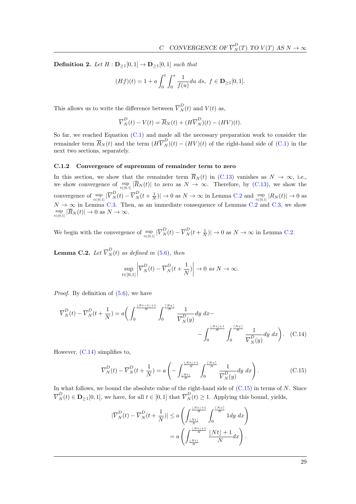<span id="page-29-0"></span>**Definition 2.** Let  $H : \mathbf{D}_{\geq 1}[0,1] \to \mathbf{D}_{\geq 1}[0,1]$  such that

$$
(Hf)(t) = 1 + a \int_0^t \int_0^s \frac{1}{f(u)} du \, ds, \ f \in \mathbf{D}_{\ge 1}[0,1].
$$

This allows us to write the difference between  $\overline{V}_N^D(t)$  and  $V(t)$  as,

$$
\overline{V}_{N}^{D}(t) - V(t) = \overline{R}_{N}(t) + (H\overline{V}_{N}^{D})(t) - (HV)(t).
$$

So far, we reached Equation [\(C.1\)](#page-26-1) and made all the necessary preparation work to consider the remainder term  $\overline{R}_N(t)$  and the term  $(H\overline{V}_N^D)(t) - (HV)(t)$  of the right-hand side of [\(C.1\)](#page-26-1) in the next two sections, separately.

#### <span id="page-29-1"></span>C.1.2 Convergence of supremum of remainder term to zero

In this section, we show that the remainder term  $\overline{R}_N(t)$  in [\(C.13\)](#page-28-4) vanishes as  $N \to \infty$ , i.e., we show convergence of  $\sup_{t\in[0,1]}|\overline{R}_N(t)|$  to zero as  $N\to\infty$ . Therefore, by [\(C.13\)](#page-28-4), we show the convergence of  $\sup_{t\in[0,1]}|\overline{V}_{N}^{D}(t)-\overline{V}_{N}^{D}(t+\frac{1}{N})|\to 0$  as  $N\to\infty$  in Lemma [C.2](#page-29-2) and  $\sup_{t\in[0,1]}|R_{N}(t)|\to 0$  as  $N \to \infty$  in Lemma [C.3.](#page-30-0) Then, as an immediate consequence of Lemmas [C.2](#page-29-2) and [C.3,](#page-30-0) we show  $\sup_{t\in[0,1]}|\overline{R}_N(t)|\to 0$  as  $N\to\infty$ .

We begin with the convergence of  $\sup_{t\in[0,1]}|\overline{V}_{N}^{D}(t)-\overline{V}_{N}^{D}(t+\frac{1}{N})|\to 0$  as  $N\to\infty$  in Lemma [C.2.](#page-29-2)

<span id="page-29-2"></span>**Lemma C.2.** Let  $\overline{V}_N^D(t)$  as defined in [\(5.6\)](#page-18-2), then

<span id="page-29-3"></span>
$$
\sup_{t \in [0,1]} \left| \overline{V}_{N}^{D}(t) - \overline{V}_{N}^{D}(t + \frac{1}{N}) \right| \to 0 \text{ as } N \to \infty.
$$

*Proof.* By definition of  $(5.6)$ , we have

$$
\overline{V}_{N}^{D}(t) - \overline{V}_{N}^{D}(t + \frac{1}{N}) = a \left( \int_{0}^{\frac{\lfloor Nt - 1 \rfloor + 1}{N}} \int_{0}^{\frac{\lceil Nx \rceil}{N}} \frac{1}{\overline{V}_{N}^{D}(y)} dy dx - - \int_{0}^{\frac{\lfloor Nt \rfloor + 1}{N}} \int_{0}^{\frac{\lceil Nx \rceil}{N}} \frac{1}{\overline{V}_{N}^{D}(y)} dy dx \right). \tag{C.14}
$$

However, [\(C.14\)](#page-29-3) simplifies to,

$$
\overline{V}_N^D(t) - \overline{V}_N^D(t + \frac{1}{N}) = a \left( - \int_{\frac{\lfloor Nt \rfloor}{N}}^{\frac{\lfloor Nt \rfloor + 1}{N}} \int_0^{\frac{\lceil Nx \rceil}{N}} \frac{1}{\overline{V}_N^D(y)} dy \, dx \right). \tag{C.15}
$$

In what follows, we bound the absolute value of the right-hand side of  $(C.15)$  in terms of  $N$ . Since  $\overline{V}_N^D(t) \in \mathbf{D}_{\geq 1}[0,1],$  we have, for all  $t \in [0,1]$  that  $\overline{V}_N^D(t) \geq 1$ . Applying this bound, yields,

<span id="page-29-4"></span>
$$
|\overline{V}_{N}^{D}(t) - \overline{V}_{N}^{D}(t + \frac{1}{N})| \le a \left( \int_{\frac{\lfloor Nt \rfloor}{N}}^{\frac{\lfloor Nt \rfloor + 1}{N}} \int_{0}^{\frac{\lceil Nx \rceil}{N}} 1 dy dx \right)
$$
  
=  $a \left( \int_{\frac{\lfloor Nt \rfloor}{N}}^{\frac{\lfloor Nt \rfloor + 1}{N}} \frac{\lfloor Nt \rfloor + 1}{N} dx \right).$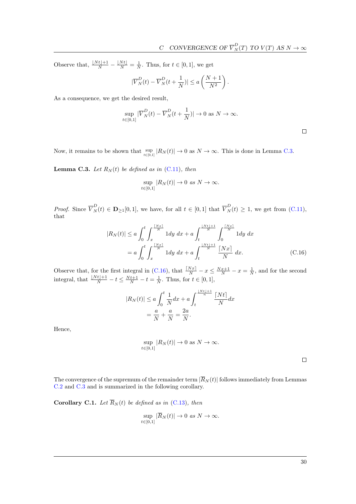Observe that,  $\frac{|Nt|+1}{N} - \frac{|Nt|}{N} = \frac{1}{N}$ . Thus, for  $t \in [0, 1]$ , we get

$$
|\overline{V}_N^D(t) - \overline{V}_N^D(t + \frac{1}{N})| \le a\left(\frac{N+1}{N^2}\right).
$$

As a consequence, we get the desired result,

$$
\sup_{t \in [0,1]} |\overline{V}_{N}^{D}(t) - \overline{V}_{N}^{D}(t + \frac{1}{N})| \to 0 \text{ as } N \to \infty.
$$

Now, it remains to be shown that  $\sup_{t\in[0,1]}|R_N(t)|\to 0$  as  $N\to\infty$ . This is done in Lemma [C.3.](#page-30-0)

<span id="page-30-0"></span>**Lemma C.3.** Let  $R_N(t)$  be defined as in [\(C.11\)](#page-28-5), then

$$
\sup_{t\in[0,1]}|R_N(t)|\to 0 \text{ as } N\to\infty.
$$

*Proof.* Since  $\overline{V}_N^D(t) \in \mathbf{D}_{\geq 1}[0,1]$ , we have, for all  $t \in [0,1]$  that  $\overline{V}_N^D(t) \geq 1$ , we get from  $(C.11)$ , that

$$
|R_N(t)| \le a \int_0^t \int_x^{\frac{\lceil Nx\rfloor}{N}} 1 dy \, dx + a \int_t^{\frac{\lceil Nx\rfloor}{N}} \int_0^{\frac{\lceil Nx\rfloor}{N}} 1 dy \, dx
$$
  
=  $a \int_0^t \int_x^{\frac{\lceil Nx\rfloor}{N}} 1 dy \, dx + a \int_t^{\frac{\lceil Nx\rfloor}{N}} \frac{\lceil Nx\rceil}{N} \, dx.$  (C.16)

Observe that, for the first integral in [\(C.16\)](#page-30-1), that  $\frac{Nx}{N} - x \le \frac{Nx+1}{N} - x = \frac{1}{N}$ , and for the second integral, that  $\frac{\lfloor Nt\rfloor+1}{N} - t \le \frac{Nt+1}{N} - t = \frac{1}{N}$ . Thus, for  $t \in [0, 1]$ ,

$$
|R_N(t)| \le a \int_0^t \frac{1}{N} dx + a \int_t^{\frac{\lfloor Nt \rfloor + 1}{n}} \frac{\lceil Nt \rceil}{N} dx
$$
  
=  $\frac{a}{N} + \frac{a}{N} = \frac{2a}{N}.$ 

Hence,

$$
\sup_{t\in[0,1]}|R_N(t)|\to 0 \text{ as } N\to\infty.
$$

<span id="page-30-1"></span> $\Box$ 

 $\Box$ 

The convergence of the supremum of the remainder term  $|\overline{R}_N(t)|$  follows immediately from Lemmas [C.2](#page-29-2) and [C.3](#page-30-0) and is summarized in the following corollary.

<span id="page-30-2"></span>Corollary C.1. Let  $\overline{R}_N(t)$  be defined as in [\(C.13\)](#page-28-4), then

$$
\sup_{t\in[0,1]}|\overline{R}_N(t)|\to 0 \text{ as } N\to\infty.
$$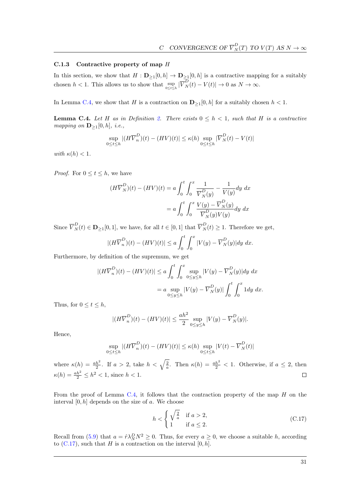### <span id="page-31-0"></span>C.1.3 Contractive property of map H

In this section, we show that  $H: \mathbf{D}_{\geq 1}[0, h] \to \mathbf{D}_{\geq 1}[0, h]$  is a contractive mapping for a suitably chosen  $h < 1$ . This allows us to show that  $\sup_{0 \le t \le h} |\overline{V}_{N}^{D}(t) - V(t)| \to 0$  as  $N \to \infty$ .

In Lemma [C.4,](#page-31-1) we show that H is a contraction on  $\mathbf{D}_{\geq 1}[0, h]$  for a suitably chosen  $h < 1$ .

<span id="page-31-1"></span>**Lemma C.4.** Let H as in Definition [2.](#page-29-0) There exists  $0 \leq h < 1$ , such that H is a contractive mapping on  $\mathbf{D}_{\geq 1}[0,h],$  i.e.,

$$
\sup_{0 \le t \le h} |(H\overline{V}_n^D)(t) - (HV)(t)| \le \kappa(h) \sup_{0 \le t \le h} |\overline{V}_N^D(t) - V(t)|
$$

with  $\kappa(h) < 1$ .

*Proof.* For  $0 \le t \le h$ , we have

$$
(H\overline{V}_N^D)(t) - (HV)(t) = a \int_0^t \int_0^x \frac{1}{\overline{V}_N^D(y)} - \frac{1}{V(y)} dy dx
$$

$$
= a \int_0^t \int_0^x \frac{V(y) - \overline{V}_N^D(y)}{\overline{V}_N^D(y) V(y)} dy dx
$$

Since  $\overline{V}_N^D(t) \in \mathbf{D}_{\geq 1}[0,1]$ , we have, for all  $t \in [0,1]$  that  $\overline{V}_N^D(t) \geq 1$ . Therefore we get,

$$
|(H\overline{V}_n^D)(t) - (HV)(t)| \le a \int_0^t \int_0^x |V(y) - \overline{V}_N^D(y)| dy dx.
$$

Furthermore, by definition of the supremum, we get

$$
\begin{aligned} |(H\overline{V}_n^D)(t) - (HV)(t)| &\le a \int_0^t \int_0^x \sup_{0 \le y \le h} |V(y) - \overline{V}_N^D(y)| dy \, dx \\ &= a \sup_{0 \le y \le h} |V(y) - \overline{V}_N^D(y)| \int_0^t \int_0^x 1 dy \, dx. \end{aligned}
$$

Thus, for  $0 \le t \le h$ ,

$$
|(H\overline{V}_n^D)(t) - (HV)(t)| \le \frac{ah^2}{2} \sup_{0 \le y \le h} |V(y) - \overline{V}_N^D(y)|.
$$

Hence,

$$
\sup_{0 \le t \le h} |(H\overline{V}_n^D)(t) - (HV)(t)| \le \kappa(h) \sup_{0 \le t \le h} |V(t) - \overline{V}_N^D(t)|
$$

where  $\kappa(h) = \frac{ah^2}{2}$ . If  $a > 2$ , take  $h < \sqrt{\frac{2}{a}}$ . Then  $\kappa(h) = \frac{ah^2}{2} < 1$ . Otherwise, if  $a \leq 2$ , then  $\kappa(h) = \frac{ah^2}{2} \le h^2 < 1$ , since  $h < 1$ .  $\Box$ 

From the proof of Lemma [C.4,](#page-31-1) it follows that the contraction property of the map  $H$  on the interval  $[0, h]$  depends on the size of  $a$ . We choose

<span id="page-31-2"></span>
$$
h < \begin{cases} \sqrt{\frac{2}{a}} & \text{if } a > 2, \\ 1 & \text{if } a \le 2. \end{cases} \tag{C.17}
$$

Recall from [\(5.9\)](#page-19-0) that  $a = \hat{r} \lambda_N^D N^2 \ge 0$ . Thus, for every  $a \ge 0$ , we choose a suitable h, according to  $(C.17)$ , such that H is a contraction on the interval  $[0, h]$ .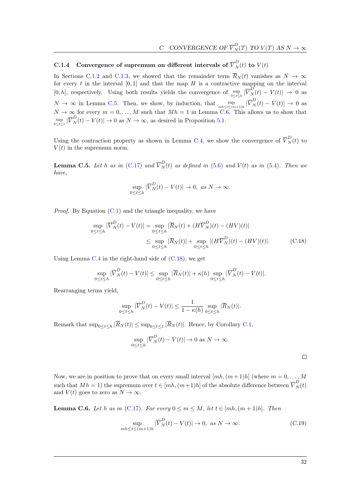<span id="page-32-0"></span>C.1.4 Convergence of supremum on different intervals of  $\overline{V}_N^D(t)$  to  $V(t)$ 

In Sections [C.1.2](#page-29-1) and [C.1.3,](#page-31-0) we showed that the remainder term  $\overline{R}_N(t)$  vanishes as  $N \to \infty$ for every t in the interval  $[0,1]$  and that the map H is a contractive mapping on the interval  $[0, h]$ , respectively. Using both results yields the convergence of  $\sup_{0 \le t \le h} |\overline{V}_{N}^{D}(t) - V(t)| \to 0$  as  $N \to \infty$  in Lemma [C.5.](#page-32-1) Then, we show, by induction, that  $\sup_{mk \leq t \leq (m+1)h} |\overline{V}_{N}^{D}(t) - V(t)| \to 0$  as  $N \to \infty$  for every  $m = 0, \ldots, M$  such that  $Mh = 1$  in Lemma [C.6.](#page-32-2) This allows us to show that  $\sup_{0 \le t \le 1} |\overline{V}_{N}^{D}(t) - V(t)| \to 0$  as  $N \to \infty$ , as desired in Proposition [5.1.](#page-18-4)

Using the contraction property as shown in Lemma [C.4,](#page-31-1) we show the convergence of  $\overline{V}_N^D(t)$  to  $V(t)$  in the supremum norm.

<span id="page-32-1"></span>**Lemma C.5.** Let h as in [\(C.17\)](#page-31-2) and  $\overline{V}_N^D(t)$  as defined in [\(5.6\)](#page-18-2) and  $V(t)$  as in [\(5.4\)](#page-18-3). Then we have,

$$
\sup_{0\leq t\leq h}|\overline{V}_{N}^{D}(t)-V(t)|\to 0, \text{ as } N\to\infty.
$$

*Proof.* By Equation  $(C.1)$  and the triangle inequality, we have

$$
\sup_{0 \le t \le h} |\overline{V}_{N}^{D}(t) - V(t)| = \sup_{0 \le t \le h} |\overline{R}_{N}(t) + (H\overline{V}_{N}^{D})(t) - (HV)(t)|
$$
  

$$
\le \sup_{0 \le t \le h} |\overline{R}_{N}(t)| + \sup_{0 \le t \le h} |(H\overline{V}_{N}^{D})(t) - (HV)(t)|.
$$
 (C.18)

Using Lemma  $C.4$  in the right-hand side of  $(C.18)$ , we get

$$
\sup_{0\leq t\leq h}|\overline{V}_{N}^{D}(t)-V(t)|\leq \sup_{0\leq t\leq h}|\overline{R}_{N}(t)|+\kappa(h)\sup_{0\leq t\leq h}|\overline{V}_{N}^{D}(t)-V(t)|.
$$

Rearranging terms yield,

$$
\sup_{0\leq t\leq h}|\overline{V}_{N}^{D}(t)-V(t)|\leq\frac{1}{1-\kappa(h)}\sup_{0\leq t\leq h}|\overline{R}_{N}(t)|.
$$

Remark that  $\sup_{0 \le t \le h} |\overline{R}_N(t)| \le \sup_{0 \le t \le 1} |\overline{R}_N(t)|$ . Hence, by Corollary [C.1,](#page-30-2)

$$
\sup_{0 \le t \le h} |\overline{V}_N^D(t) - V(t)| \to 0 \text{ as } N \to \infty.
$$

<span id="page-32-4"></span><span id="page-32-3"></span> $\Box$ 

Now, we are in position to prove that on every small interval  $[mh,(m+1)h]$  (where  $m=0,\ldots,M$ such that  $Mh = 1$ ) the supremum over  $t \in [mh, (m+1)h]$  of the absolute difference between  $\overline{V}_{N}^{D}(t)$ and  $V(t)$  goes to zero as  $N \to \infty$ .

<span id="page-32-2"></span>**Lemma C.6.** Let h as in [\(C.17\)](#page-31-2). For every  $0 \leq m \leq M$ , let  $t \in [mh, (m+1)h]$ . Then

$$
\sup_{mh \le t \le (m+1)h} |\overline{V}_N^D(t) - V(t)| \to 0, \text{ as } N \to \infty.
$$
 (C.19)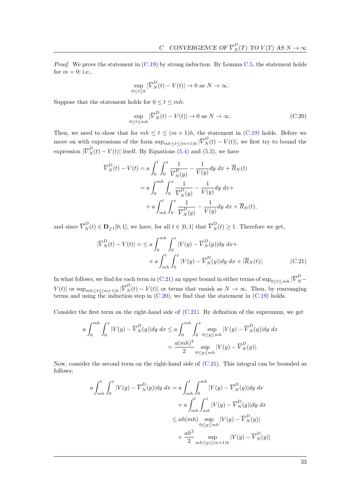*Proof.* We prove the statement in  $(C.19)$  by strong induction. By Lemma [C.5,](#page-32-1) the statement holds for  $m = 0$ ; i.e.,

$$
\sup_{0 \le t \le h} |\overline{V}_{N}^{D}(t) - V(t)| \to 0 \text{ as } N \to \infty.
$$

Suppose that the statement holds for  $0 \le t \le mh$ :

<span id="page-33-1"></span>
$$
\sup_{0 \le t \le mh} |\overline{V}_N^D(t) - V(t)| \to 0 \text{ as } N \to \infty.
$$
 (C.20)

Then, we need to show that for  $mh \le t \le (m+1)h$ , the statement in [\(C.19\)](#page-32-4) holds. Before we move on with expressions of the form  $\sup_{mh \leq t \leq (m+1)h} |\overline{V}_{N}^{D}(t) - V(t)|$ , we first try to bound the expression  $|\overline{V}_{N}^{D}(t) - V(t)|$  itself. By Equations [\(5.4\)](#page-18-3) and [\(5.3\)](#page-18-1), we have

$$
\overline{V}_{N}^{D}(t) - V(t) = a \int_{0}^{t} \int_{0}^{x} \frac{1}{\overline{V}_{N}^{D}(y)} - \frac{1}{V(y)} dy dx + \overline{R}_{N}(t)
$$
  

$$
= a \int_{0}^{mh} \int_{0}^{x} \frac{1}{\overline{V}_{N}^{D}(y)} - \frac{1}{V(y)} dy dx +
$$
  

$$
+ a \int_{mh}^{t} \int_{0}^{x} \frac{1}{\overline{V}_{N}^{D}(y)} - \frac{1}{V(y)} dy dx + \overline{R}_{N}(t),
$$

and since  $\overline{V}_N^D(t) \in \mathbf{D}_{\geq 1}[0,1]$ , we have, for all  $t \in [0,1]$  that  $\overline{V}_N^D(t) \geq 1$ . Therefore we get,

<span id="page-33-0"></span>
$$
|\overline{V}_{N}^{D}(t) - V(t)| = \le a \int_{0}^{mh} \int_{0}^{x} |V(y) - \overline{V}_{N}^{D}(y)| dy dx +
$$
  
+  $a \int_{mh}^{t} \int_{0}^{x} |V(y) - \overline{V}_{N}^{D}(y)| dy dx + |\overline{R}_{N}(t)|.$  (C.21)

In what follows, we find for each term in [\(C.21\)](#page-33-0) an upper bound in either terms of  $\sup_{0\leq t\leq mh}|\overline{V}_{N}^{D}$  $V(t)$  or  $\sup_{mh \leq t \leq (m+1)h} |\overline{V}_{N}^{D}(t) - V(t)|$  or terms that vanish as  $N \to \infty$ . Then, by rearranging terms and using the induction step in  $(C.20)$ , we find that the statement in  $(C.19)$  holds.

Consider the first term on the right-hand side of [\(C.21\)](#page-33-0). By definition of the supremum, we get

$$
a \int_0^{mh} \int_0^x |V(y) - \overline{V}_N^D(y)| dy dx \le a \int_0^{mh} \int_0^x \sup_{0 \le y \le mh} |V(y) - \overline{V}_N^D(y)| dy dx
$$
  
= 
$$
\frac{a(mh)^2}{2} \sup_{0 \le y \le mh} |V(y) - \overline{V}_N^D(y)|.
$$

Now, consider the second term on the right-hand side of [\(C.21\)](#page-33-0). This integral can be bounded as follows;

$$
a \int_{mh}^{t} \int_{0}^{x} |V(y) - \overline{V}_{N}^{D}(y)| dy dx = a \int_{mh}^{t} \int_{0}^{mh} |V(y) - \overline{V}_{N}^{D}(y)| dy dx
$$
  
+ 
$$
a \int_{mh}^{t} \int_{mh}^{x} |V(y) - \overline{V}_{N}^{D}(y)| dy dx
$$
  

$$
\leq ah(mh) \sup_{0 \leq y \leq mh} |V(y) - \overline{V}_{N}^{D}(y)|
$$
  
+ 
$$
\frac{ah^{2}}{2} \sup_{mh \leq y \leq (m+1)h} |V(y) - \overline{V}_{N}^{D}(y)|
$$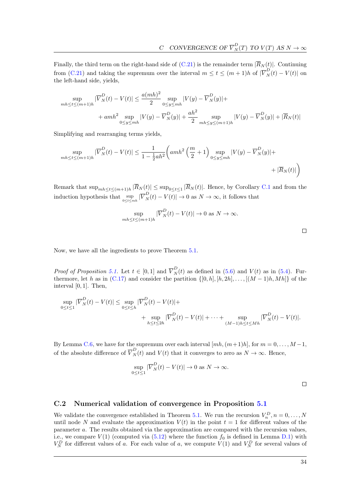Finally, the third term on the right-hand side of [\(C.21\)](#page-33-0) is the remainder term  $|\overline{R}_N(t)|$ . Continuing from [\(C.21\)](#page-33-0) and taking the supremum over the interval  $m \le t \le (m+1)h$  of  $|\overline{V}_N^D(t) - V(t)|$  on the left-hand side, yields,

$$
\sup_{mh \le t \le (m+1)h} |\overline{V}_{N}^{D}(t) - V(t)| \le \frac{a(mh)^{2}}{2} \sup_{0 \le y \le mh} |V(y) - \overline{V}_{N}^{D}(y)| +
$$
  
+ 
$$
+ amh^{2} \sup_{0 \le y \le mh} |V(y) - \overline{V}_{N}^{D}(y)| + \frac{ah^{2}}{2} \sup_{mh \le y \le (m+1)h} |V(y) - \overline{V}_{N}^{D}(y)| + |\overline{R}_{N}(t)|
$$

Simplifying and rearranging terms yields,

$$
\sup_{mh \le t \le (m+1)h} |\overline{V}_{N}^{D}(t) - V(t)| \le \frac{1}{1 - \frac{1}{2}ah^2} \left( amh^2 \left( \frac{m}{2} + 1 \right) \sup_{0 \le y \le mh} |V(y) - \overline{V}_{N}^{D}(y)| + \right. \\ \left. + |\overline{R}_{N}(t)| \right)
$$

Remark that  $\sup_{mh \leq t \leq (m+1)h} |\overline{R}_N(t)| \leq \sup_{0 \leq t \leq 1} |\overline{R}_N(t)|$ . Hence, by Corollary [C.1](#page-30-2) and from the induction hypothesis that  $\sup_{0 \le t \le mh} |\overline{V}_{N}^{D}(t) - V(t)| \to 0$  as  $N \to \infty$ , it follows that

$$
\sup_{mh \le t \le (m+1)h} |\overline{V}_N^D(t) - V(t)| \to 0 \text{ as } N \to \infty.
$$

Now, we have all the ingredients to prove Theorem [5.1.](#page-18-4)

*Proof of Proposition [5.1.](#page-18-4)* Let  $t \in [0,1]$  and  $\overline{V}_N^D(t)$  as defined in [\(5.6\)](#page-18-2) and  $V(t)$  as in [\(5.4\)](#page-18-3). Furthermore, let h as in  $(C.17)$  and consider the partition  $\{[0, h], [h, 2h], \ldots, [(M-1)h, Mh]\}$  of the interval [0, 1]. Then,

$$
\sup_{0 \le t \le 1} |\overline{V}_{N}^{D}(t) - V(t)| \le \sup_{0 \le t \le h} |\overline{V}_{N}^{D}(t) - V(t)| + \n+ \sup_{h \le t \le 2h} |\overline{V}_{N}^{D}(t) - V(t)| + \dots + \sup_{(M-1)h \le t \le Mh} |\overline{V}_{N}^{D}(t) - V(t)|.
$$

By Lemma [C.6,](#page-32-2) we have for the supremum over each interval  $[mh,(m+1)h]$ , for  $m = 0, \ldots, M-1$ , of the absolute difference of  $\overline{V}_N^D(t)$  and  $V(t)$  that it converges to zero as  $N \to \infty$ . Hence,

$$
\sup_{0\leq t\leq 1}|\overline{V}_{N}^{D}(t)-V(t)|\to 0 \text{ as } N\to\infty.
$$

 $\Box$ 

 $\Box$ 

### C.2 Numerical validation of convergence in Proposition [5.1](#page-18-4)

We validate the convergence established in Theorem [5.1.](#page-18-4) We run the recursion  $V_n^D$ ,  $n = 0, \ldots, N$ until node N and evaluate the approximation  $V(t)$  in the point  $t = 1$  for different values of the parameter a. The results obtained via the approximation are compared with the recursion values, i.e., we compare  $V(1)$  (computed via  $(5.12)$  where the function  $f_0$  is defined in Lemma [D.1\)](#page-35-1) with  $V_N^D$  for different values of a. For each value of a, we compute  $V(1)$  and  $V_N^D$  for several values of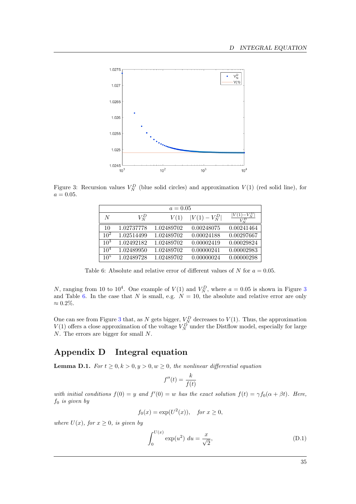<span id="page-35-2"></span>

<span id="page-35-3"></span>Figure 3: Recursion values  $V_N^D$  (blue solid circles) and approximation  $V(1)$  (red solid line), for  $a = 0.05$ .

| $a = 0.05$      |            |            |                |                         |
|-----------------|------------|------------|----------------|-------------------------|
| N               | $V^D_N$    | V(1)       | $ V(1)-V_N^D $ | $ V(1)-V_N^D $<br>$V^D$ |
| 10              | 1.02737778 | 1.02489702 | 0.00248075     | 0.00241464              |
| 10 <sup>2</sup> | 1.02514499 | 1.02489702 | 0.00024188     | 0.00297667              |
| $10^{3}$        | 1.02492182 | 1.02489702 | 0.00002419     | 0.00029824              |
| 10 <sup>4</sup> | 1.02489950 | 1.02489702 | 0.00000241     | 0.00002983              |
| $10^{5}$        | 1.02489728 | 1.02489702 | 0.00000024     | 0.00000298              |

Table 6: Absolute and relative error of different values of N for  $a = 0.05$ .

N, ranging from 10 to  $10^4$ . One example of  $V(1)$  and  $V_N^D$ , where  $a = 0.05$  is shown in Figure [3](#page-35-2) and Table [6.](#page-35-3) In the case that N is small, e.g.  $N = 10$ , the absolute and relative error are only  $\approx 0.2\%.$ 

One can see from Figure [3](#page-35-2) that, as N gets bigger,  $V_N^D$  decreases to  $V(1)$ . Thus, the approximation  $V(1)$  offers a close approximation of the voltage  $V_N^D$  under the Distflow model, especially for large N. The errors are bigger for small N.

# <span id="page-35-0"></span>Appendix D Integral equation

<span id="page-35-1"></span>**Lemma D.1.** For  $t \geq 0, k > 0, y > 0, w \geq 0$ , the nonlinear differential equation

<span id="page-35-4"></span>
$$
f''(t) = \frac{k}{f(t)}
$$

with initial conditions  $f(0) = y$  and  $f'(0) = w$  has the exact solution  $f(t) = \gamma f_0(\alpha + \beta t)$ . Here,  $f_0$  is given by

$$
f_0(x) = \exp(U^2(x)), \quad \text{for } x \ge 0,
$$

where  $U(x)$ , for  $x > 0$ , is given by

$$
\int_0^{U(x)} \exp(u^2) \, du = \frac{x}{\sqrt{2}},\tag{D.1}
$$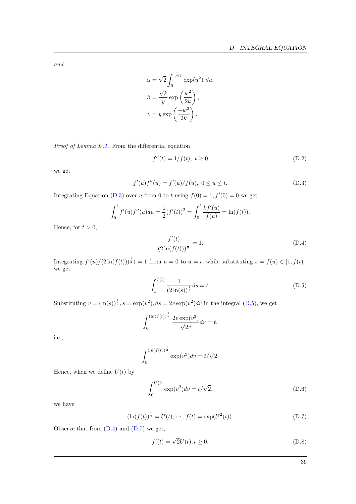and

$$
\alpha = \sqrt{2} \int_0^{\frac{w}{\sqrt{2k}}} \exp(u^2) du,
$$

$$
\beta = \frac{\sqrt{k}}{y} \exp\left(\frac{w^2}{2k}\right),
$$

$$
\gamma = y \exp\left(\frac{-w^2}{2k}\right).
$$

Proof of Lemma [D.1.](#page-35-4) From the differential equation

<span id="page-36-4"></span><span id="page-36-0"></span>
$$
f''(t) = 1/f(t), \ t \ge 0 \tag{D.2}
$$

we get

$$
f'(u)f''(u) = f'(u)/f(u), \ 0 \le u \le t.
$$
 (D.3)

Integrating Equation [\(D.3\)](#page-36-0) over u from 0 to t using  $f(0) = 1, f'(0) = 0$  we get

$$
\int_0^t f'(u)f''(u)du = \frac{1}{2}(f'(t))^2 = \int_0^t \frac{kf'(u)}{f(u)} = \ln(f(t)).
$$

Hence, for  $t > 0$ ,

<span id="page-36-2"></span><span id="page-36-1"></span>
$$
\frac{f'(t)}{(2\ln(f(t)))^{\frac{1}{2}}} = 1.
$$
\n(D.4)

Integrating  $f'(u)/(2\ln(f(t)))^{\frac{1}{2}} = 1$  from  $u = 0$  to  $u = t$ , while substituting  $s = f(u) \in [1, f(t)]$ , we get

$$
\int_{1}^{f(t)} \frac{1}{(2\ln(s))^{\frac{1}{2}}} ds = t.
$$
\n(D.5)

Substituting  $v = (\ln(s))^{\frac{1}{2}}$ ,  $s = \exp(v^2)$ ,  $ds = 2v \exp(v^2)dv$  in the integral [\(D.5\)](#page-36-1), we get

$$
\int_0^{(\ln(f(t))^{\frac{1}{2}})} \frac{2v \exp(v^2)}{\sqrt{2}v} dv = t,
$$

i.e.,

$$
\int_0^{(\ln(f(t))^{\frac{1}{2}})} \exp(v^2) dv = t/\sqrt{2}.
$$

Hence, when we define  $U(t)$  by

$$
\int_0^{U(t)} \exp(v^2) dv = t/\sqrt{2},
$$
\n(D.6)

we have

$$
(\ln(f(t))^{\frac{1}{2}} = U(t), \text{i.e., } f(t) = \exp(U^2(t)).
$$
\n(D.7)

Observe that from [\(D.4\)](#page-36-2) and [\(D.7\)](#page-36-3) we get,

$$
f'(t) = \sqrt{2}U(t), t \ge 0.
$$
 (D.8)

<span id="page-36-6"></span><span id="page-36-5"></span><span id="page-36-3"></span>36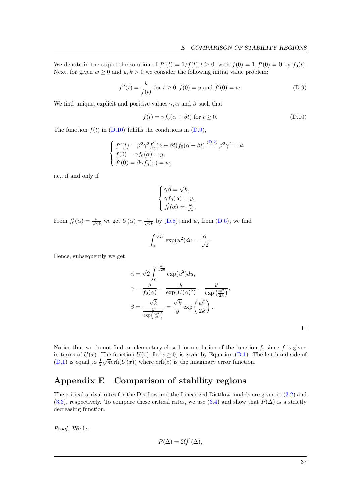We denote in the sequel the solution of  $f''(t) = 1/f(t), t \ge 0$ , with  $f(0) = 1, f'(0) = 0$  by  $f_0(t)$ . Next, for given  $w \ge 0$  and  $y, k > 0$  we consider the following initial value problem:

$$
f''(t) = \frac{k}{f(t)} \text{ for } t \ge 0; f(0) = y \text{ and } f'(0) = w.
$$
 (D.9)

We find unique, explicit and positive values  $\gamma$ ,  $\alpha$  and  $\beta$  such that

<span id="page-37-2"></span><span id="page-37-1"></span>
$$
f(t) = \gamma f_0(\alpha + \beta t) \text{ for } t \ge 0.
$$
 (D.10)

The function  $f(t)$  in [\(D.10\)](#page-37-1) fulfills the conditions in [\(D.9\)](#page-37-2),

$$
\begin{cases}\nf''(t) = \beta^2 \gamma^2 f_0''(\alpha + \beta t) f_0(\alpha + \beta t) \stackrel{\text{(D.2)}}{=} \beta^2 \gamma^2 = k, \\
f(0) = \gamma f_0(\alpha) = y, \\
f'(0) = \beta \gamma f_0'(\alpha) = w,\n\end{cases}
$$

i.e., if and only if

$$
\begin{cases} \gamma \beta = \sqrt{k}, \\ \gamma f_0(\alpha) = y, \\ f_0'(\alpha) = \frac{w}{\sqrt{k}}. \end{cases}
$$

From  $f'_0(\alpha) = \frac{w}{\sqrt{2k}}$  we get  $U(\alpha) = \frac{w}{\sqrt{2k}}$  by [\(D.8\)](#page-36-5), and w, from [\(D.6\)](#page-36-6), we find

$$
\int_0^{\frac{w}{\sqrt{2k}}} \exp(u^2) du = \frac{\alpha}{\sqrt{2}}
$$

Hence, subsequently we get

$$
\alpha = \sqrt{2} \int_0^{\frac{w}{\sqrt{2k}}} \exp(u^2) du,
$$
  

$$
\gamma = \frac{y}{f_0(\alpha)} = \frac{y}{\exp(U(\alpha)^2)} = \frac{y}{\exp(\frac{w^2}{2k})},
$$
  

$$
\beta = \frac{\sqrt{k}}{\frac{y}{\exp(\frac{w^2}{2k})}} = \frac{\sqrt{k}}{y} \exp(\frac{w^2}{2k}).
$$

.

 $\Box$ 

Notice that we do not find an elementary closed-form solution of the function  $f$ , since  $f$  is given in terms of  $U(x)$ . The function  $U(x)$ , for  $x \ge 0$ , is given by Equation [\(D.1\)](#page-35-4). The left-hand side of [\(D.1\)](#page-35-4) is equal to  $\frac{1}{2}\sqrt{\pi}$ erfi $(U(x))$  where erfi(z) is the imaginary error function.

# <span id="page-37-0"></span>Appendix E Comparison of stability regions

The critical arrival rates for the Distflow and the Linearized Distflow models are given in [\(3.2\)](#page-12-1) and [\(3.3\)](#page-13-4), respectively. To compare these critical rates, we use [\(3.4\)](#page-13-2) and show that  $P(\Delta)$  is a strictly decreasing function.

Proof. We let

$$
P(\Delta) = 2Q^2(\Delta),
$$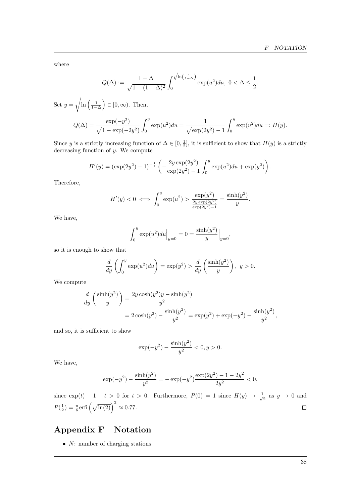where

$$
Q(\Delta) := \frac{1 - \Delta}{\sqrt{1 - (1 - \Delta)^2}} \int_0^{\sqrt{\ln\left(\frac{1}{1 - \Delta}\right)}} \exp(u^2) du, \ 0 < \Delta \le \frac{1}{2}.
$$

Set  $y = \sqrt{\ln\left(\frac{1}{1-\Delta}\right)} \in [0,\infty)$ . Then,  $Q(\Delta) = \frac{\exp(-y^2)}{\sqrt{2\pi}}$  $\sqrt{1 - \exp(-2y^2)}$  $\int^y$ 0  $\exp(u^2)du = \frac{1}{\sqrt{1-u^2}}$  $\sqrt{\exp(2y^2)-1}$  $\int^y$ 0  $\exp(u^2)du =: H(y).$ 

Since y is a strictly increasing function of  $\Delta \in [0, \frac{1}{2}]$ , it is sufficient to show that  $H(y)$  is a strictly decreasing function of y. We compute

$$
H'(y) = (\exp(2y^2) - 1)^{-\frac{1}{2}} \left( -\frac{2y \exp(2y^2)}{\exp(2y^2) - 1} \int_0^y \exp(u^2) du + \exp(y^2) \right).
$$

Therefore,

$$
H'(y) < 0 \iff \int_0^y \exp(u^2) > \frac{\exp(y^2)}{\frac{2y \exp(2y^2)}{\exp(2y^2) - 1}} = \frac{\sinh(y^2)}{y}.
$$

We have,

$$
\int_0^y \exp(u^2) du \Big|_{y=0} = 0 = \frac{\sinh(y^2)}{y} \Big|_{y=0},
$$

so it is enough to show that

$$
\frac{d}{dy}\left(\int_0^y \exp(u^2) du\right) = \exp(y^2) > \frac{d}{dy}\left(\frac{\sinh(y^2)}{y}\right), \ y > 0.
$$

We compute

$$
\frac{d}{dy}\left(\frac{\sinh(y^2)}{y}\right) = \frac{2y\cosh(y^2)y - \sinh(y^2)}{y^2}
$$

$$
= 2\cosh(y^2) - \frac{\sinh(y^2)}{y^2} = \exp(y^2) + \exp(-y^2) - \frac{\sinh(y^2)}{y^2},
$$

and so, it is sufficient to show

$$
\exp(-y^2) - \frac{\sinh(y^2)}{y^2} < 0, y > 0.
$$

We have,

$$
\exp(-y^2) - \frac{\sinh(y^2)}{y^2} = -\exp(-y^2)\frac{\exp(2y^2) - 1 - 2y^2}{2y^2} < 0,
$$

since  $\exp(t) - 1 - t > 0$  for  $t > 0$ . Furthermore,  $P(0) = 1$  since  $H(y) \rightarrow \frac{1}{t}$  $\overline{z}$  as  $y \to 0$  and  $P(\frac{1}{2}) = \frac{\pi}{6} \text{erfi} \left( \sqrt{\ln(2)} \right)^2 \approx 0.77.$ 

# <span id="page-38-0"></span>Appendix F Notation

•  $N:$  number of charging stations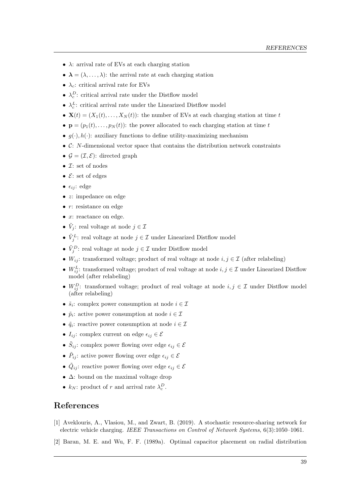- $\lambda$ : arrival rate of EVs at each charging station
- $\lambda = (\lambda, \ldots, \lambda)$ : the arrival rate at each charging station
- $\lambda_c$ : critical arrival rate for EVs
- $\lambda_c^D$ : critical arrival rate under the Distflow model
- $\lambda_c^L$ : critical arrival rate under the Linearized Distflow model
- $\mathbf{X}(t) = (X_1(t), \ldots, X_N(t))$ : the number of EVs at each charging station at time t
- $\mathbf{p} = (p_1(t), \ldots, p_N(t))$ : the power allocated to each charging station at time t
- $q(\cdot), h(\cdot)$ : auxiliary functions to define utility-maximizing mechanism
- $\bullet$  C: N-dimensional vector space that contains the distribution network constraints
- $\mathcal{G} = (\mathcal{I}, \mathcal{E})$ : directed graph
- $\mathcal{I}:$  set of nodes
- $\mathcal{E}:$  set of edges
- $\epsilon_{ij}$ : edge
- *z*: impedance on edge
- $r:$  resistance on edge
- $\bullet$  x: reactance on edge.
- $\tilde{V}_j$ : real voltage at node  $j \in \mathcal{I}$
- $\tilde{V}_j^L$ : real voltage at node  $j \in \mathcal{I}$  under Linearized Distflow model
- $\tilde{V}_j^D$ : real voltage at node  $j \in \mathcal{I}$  under Distflow model
- $W_{ij}$ : transformed voltage; product of real voltage at node  $i, j \in \mathcal{I}$  (after relabeling)
- $W_{ij}^L$ : transformed voltage; product of real voltage at node  $i, j \in \mathcal{I}$  under Linearized Distflow model (after relabeling)
- $W_{ij}^D$ : transformed voltage; product of real voltage at node  $i, j \in \mathcal{I}$  under Distflow model (after relabeling)
- $\tilde{s}_i$ : complex power consumption at node  $i \in \mathcal{I}$
- $\tilde{p}_i$ : active power consumption at node  $i \in \mathcal{I}$
- $\tilde{q}_i$ : reactive power consumption at node  $i \in \mathcal{I}$
- $I_{ij}$ : complex current on edge  $\epsilon_{ij} \in \mathcal{E}$
- $\tilde{S}_{ij}$ : complex power flowing over edge  $\epsilon_{ij} \in \mathcal{E}$
- $\tilde{P}_{ij}$ : active power flowing over edge  $\epsilon_{ij} \in \mathcal{E}$
- $\tilde{Q}_{ij}$ : reactive power flowing over edge  $\epsilon_{ij} \in \mathcal{E}$
- ∆: bound on the maximal voltage drop
- $k_N$ : product of r and arrival rate  $\lambda_c^D$ .

### References

- <span id="page-39-0"></span>[1] Aveklouris, A., Vlasiou, M., and Zwart, B. (2019). A stochastic resource-sharing network for electric vehicle charging. IEEE Transactions on Control of Network Systems, 6(3):1050–1061.
- <span id="page-39-1"></span>[2] Baran, M. E. and Wu, F. F. (1989a). Optimal capacitor placement on radial distribution